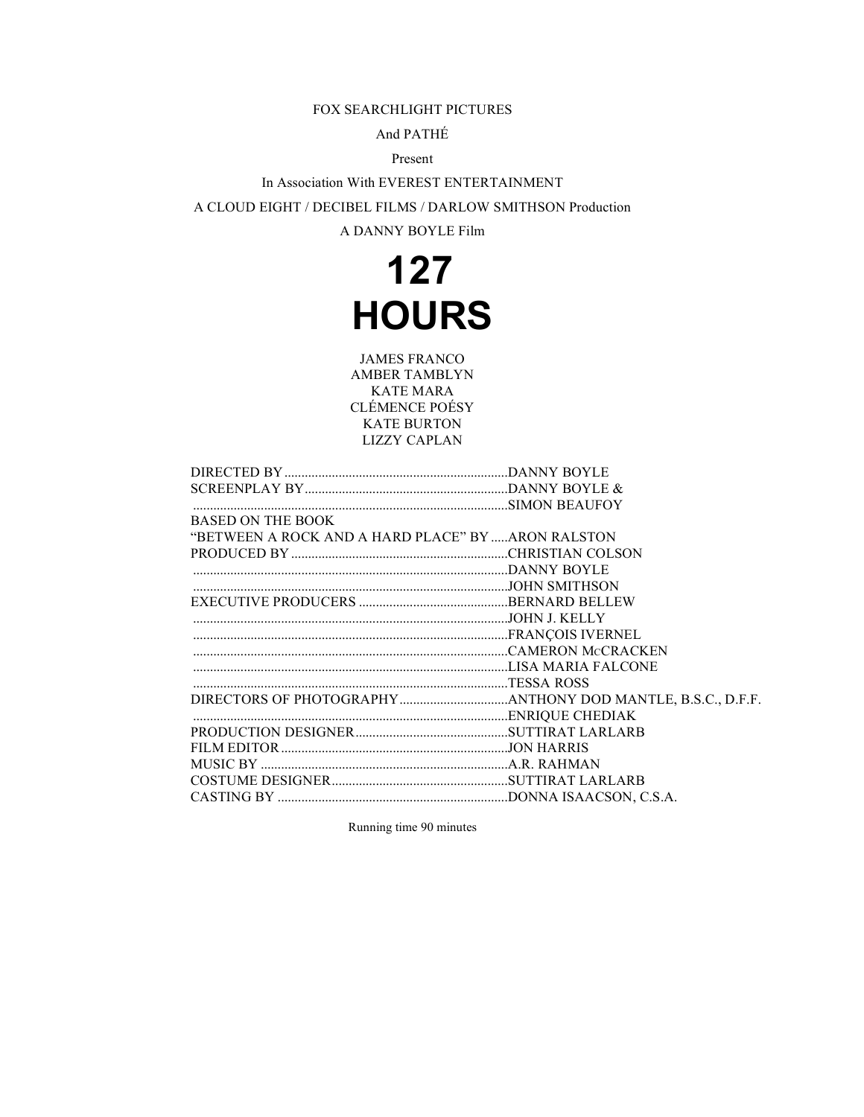### FOX SEARCHLIGHT PICTURES

## And PATHÉ

## Present

In Association With EVEREST ENTERTAINMENT A CLOUD EIGHT / DECIBEL FILMS / DARLOW SMITHSON Production A DANNY BOYLE Film

## **127 HOURS**

JAMES FRANCO AMBER TAMBLYN KATE MARA CLÉMENCE POÉSY KATE BURTON LIZZY CAPLAN

| <b>BASED ON THE BOOK</b>                          |  |
|---------------------------------------------------|--|
| "BETWEEN A ROCK AND A HARD PLACE" BY ARON RALSTON |  |
|                                                   |  |
|                                                   |  |
|                                                   |  |
|                                                   |  |
|                                                   |  |
|                                                   |  |
|                                                   |  |
|                                                   |  |
|                                                   |  |
|                                                   |  |
|                                                   |  |
|                                                   |  |
|                                                   |  |
|                                                   |  |
|                                                   |  |
|                                                   |  |

Running time 90 minutes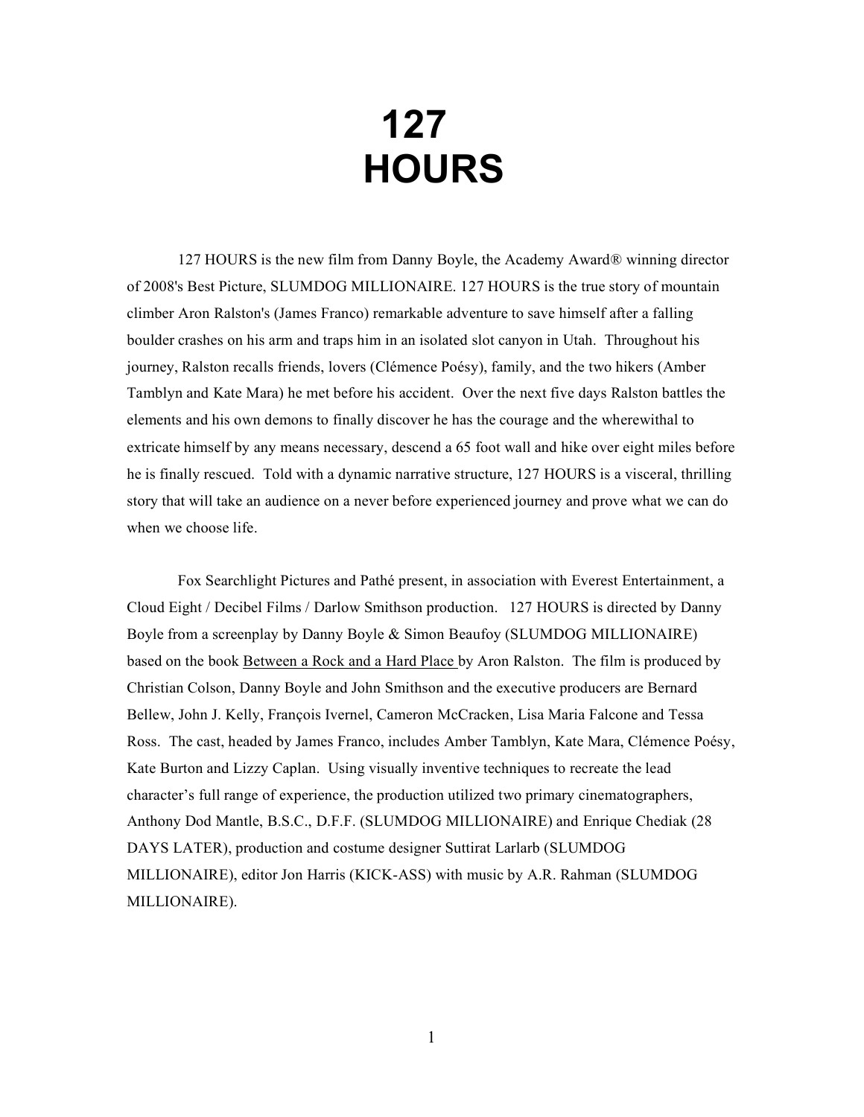# **127 HOURS**

127 HOURS is the new film from Danny Boyle, the Academy Award® winning director of 2008's Best Picture, SLUMDOG MILLIONAIRE. 127 HOURS is the true story of mountain climber Aron Ralston's (James Franco) remarkable adventure to save himself after a falling boulder crashes on his arm and traps him in an isolated slot canyon in Utah. Throughout his journey, Ralston recalls friends, lovers (Clémence Poésy), family, and the two hikers (Amber Tamblyn and Kate Mara) he met before his accident. Over the next five days Ralston battles the elements and his own demons to finally discover he has the courage and the wherewithal to extricate himself by any means necessary, descend a 65 foot wall and hike over eight miles before he is finally rescued. Told with a dynamic narrative structure, 127 HOURS is a visceral, thrilling story that will take an audience on a never before experienced journey and prove what we can do when we choose life.

Fox Searchlight Pictures and Pathé present, in association with Everest Entertainment, a Cloud Eight / Decibel Films / Darlow Smithson production. 127 HOURS is directed by Danny Boyle from a screenplay by Danny Boyle & Simon Beaufoy (SLUMDOG MILLIONAIRE) based on the book Between a Rock and a Hard Place by Aron Ralston. The film is produced by Christian Colson, Danny Boyle and John Smithson and the executive producers are Bernard Bellew, John J. Kelly, François Ivernel, Cameron McCracken, Lisa Maria Falcone and Tessa Ross. The cast, headed by James Franco, includes Amber Tamblyn, Kate Mara, Clémence Poésy, Kate Burton and Lizzy Caplan. Using visually inventive techniques to recreate the lead character's full range of experience, the production utilized two primary cinematographers, Anthony Dod Mantle, B.S.C., D.F.F. (SLUMDOG MILLIONAIRE) and Enrique Chediak (28 DAYS LATER), production and costume designer Suttirat Larlarb (SLUMDOG MILLIONAIRE), editor Jon Harris (KICK-ASS) with music by A.R. Rahman (SLUMDOG MILLIONAIRE).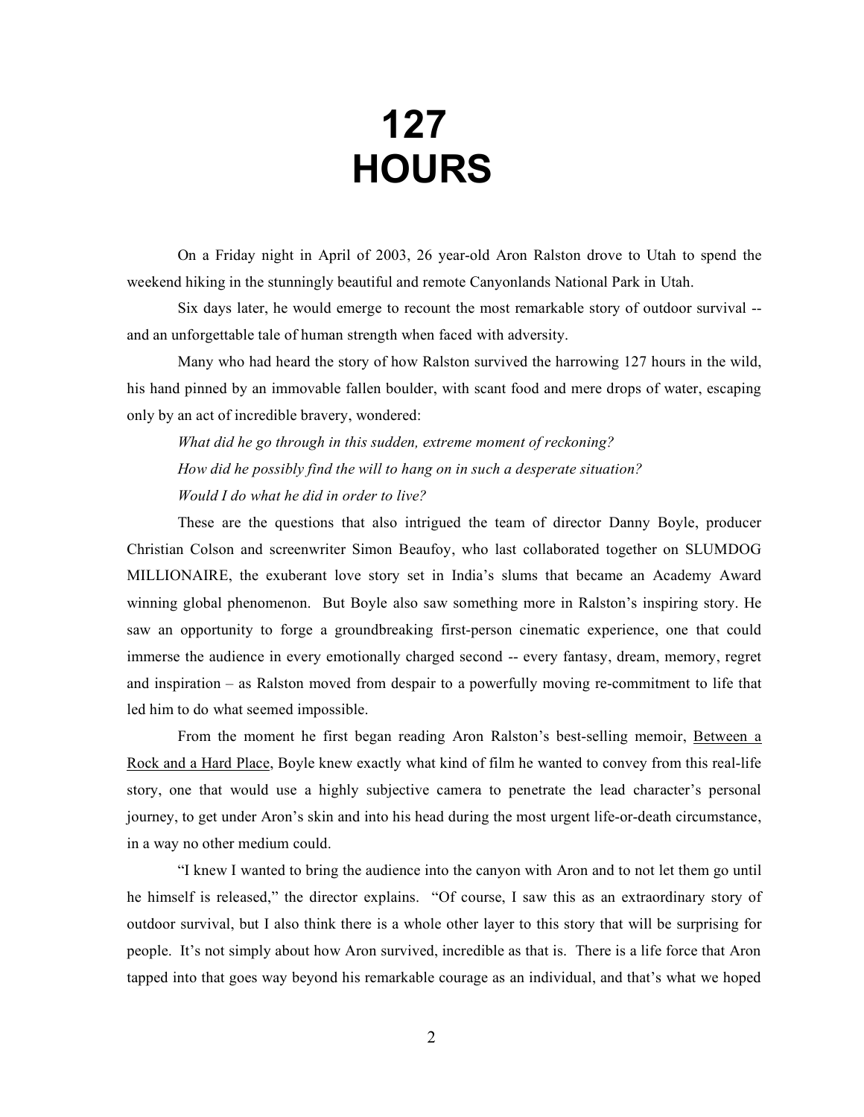# **127 HOURS**

On a Friday night in April of 2003, 26 year-old Aron Ralston drove to Utah to spend the weekend hiking in the stunningly beautiful and remote Canyonlands National Park in Utah.

Six days later, he would emerge to recount the most remarkable story of outdoor survival - and an unforgettable tale of human strength when faced with adversity.

Many who had heard the story of how Ralston survived the harrowing 127 hours in the wild, his hand pinned by an immovable fallen boulder, with scant food and mere drops of water, escaping only by an act of incredible bravery, wondered:

*What did he go through in this sudden, extreme moment of reckoning? How did he possibly find the will to hang on in such a desperate situation? Would I do what he did in order to live?* 

These are the questions that also intrigued the team of director Danny Boyle, producer Christian Colson and screenwriter Simon Beaufoy, who last collaborated together on SLUMDOG MILLIONAIRE, the exuberant love story set in India's slums that became an Academy Award winning global phenomenon. But Boyle also saw something more in Ralston's inspiring story. He saw an opportunity to forge a groundbreaking first-person cinematic experience, one that could immerse the audience in every emotionally charged second -- every fantasy, dream, memory, regret and inspiration – as Ralston moved from despair to a powerfully moving re-commitment to life that led him to do what seemed impossible.

From the moment he first began reading Aron Ralston's best-selling memoir, Between a Rock and a Hard Place, Boyle knew exactly what kind of film he wanted to convey from this real-life story, one that would use a highly subjective camera to penetrate the lead character's personal journey, to get under Aron's skin and into his head during the most urgent life-or-death circumstance, in a way no other medium could.

"I knew I wanted to bring the audience into the canyon with Aron and to not let them go until he himself is released," the director explains. "Of course, I saw this as an extraordinary story of outdoor survival, but I also think there is a whole other layer to this story that will be surprising for people. It's not simply about how Aron survived, incredible as that is. There is a life force that Aron tapped into that goes way beyond his remarkable courage as an individual, and that's what we hoped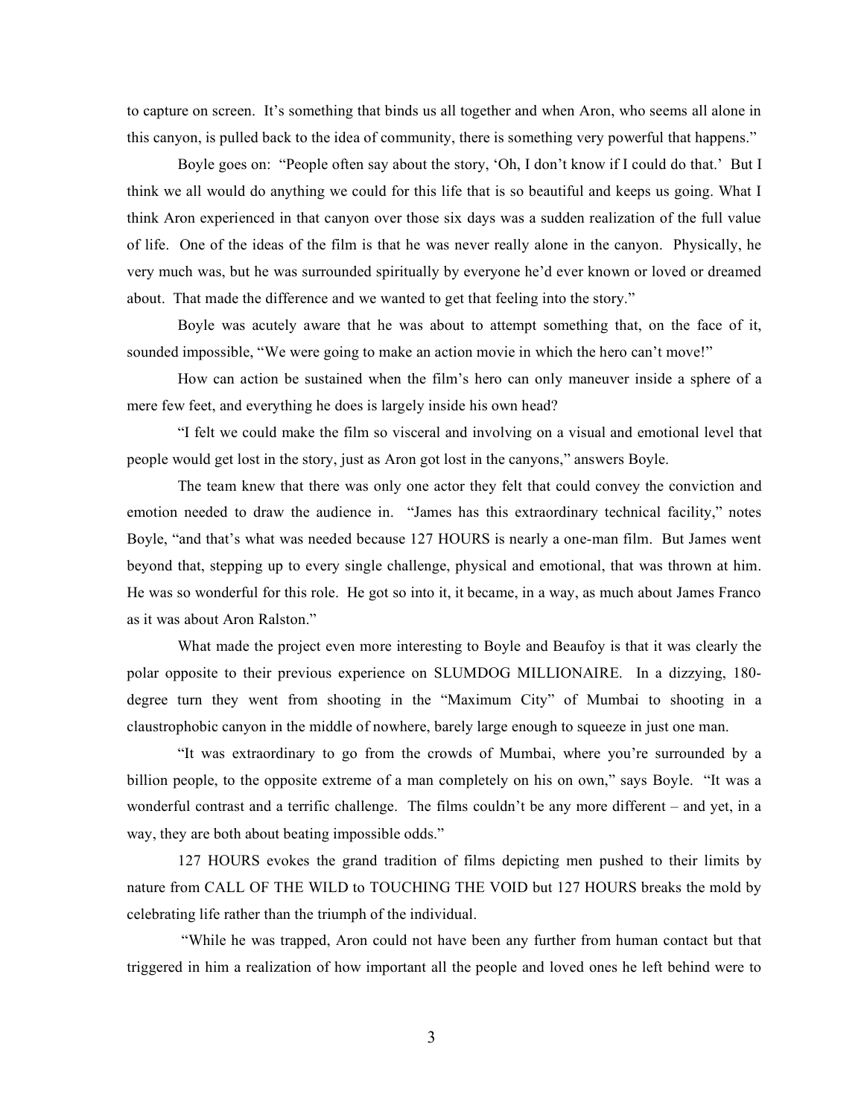to capture on screen. It's something that binds us all together and when Aron, who seems all alone in this canyon, is pulled back to the idea of community, there is something very powerful that happens."

Boyle goes on: "People often say about the story, 'Oh, I don't know if I could do that.' But I think we all would do anything we could for this life that is so beautiful and keeps us going. What I think Aron experienced in that canyon over those six days was a sudden realization of the full value of life. One of the ideas of the film is that he was never really alone in the canyon. Physically, he very much was, but he was surrounded spiritually by everyone he'd ever known or loved or dreamed about. That made the difference and we wanted to get that feeling into the story."

Boyle was acutely aware that he was about to attempt something that, on the face of it, sounded impossible, "We were going to make an action movie in which the hero can't move!"

How can action be sustained when the film's hero can only maneuver inside a sphere of a mere few feet, and everything he does is largely inside his own head?

"I felt we could make the film so visceral and involving on a visual and emotional level that people would get lost in the story, just as Aron got lost in the canyons," answers Boyle.

The team knew that there was only one actor they felt that could convey the conviction and emotion needed to draw the audience in. "James has this extraordinary technical facility," notes Boyle, "and that's what was needed because 127 HOURS is nearly a one-man film. But James went beyond that, stepping up to every single challenge, physical and emotional, that was thrown at him. He was so wonderful for this role. He got so into it, it became, in a way, as much about James Franco as it was about Aron Ralston."

What made the project even more interesting to Boyle and Beaufoy is that it was clearly the polar opposite to their previous experience on SLUMDOG MILLIONAIRE. In a dizzying, 180 degree turn they went from shooting in the "Maximum City" of Mumbai to shooting in a claustrophobic canyon in the middle of nowhere, barely large enough to squeeze in just one man.

"It was extraordinary to go from the crowds of Mumbai, where you're surrounded by a billion people, to the opposite extreme of a man completely on his on own," says Boyle. "It was a wonderful contrast and a terrific challenge. The films couldn't be any more different – and yet, in a way, they are both about beating impossible odds."

127 HOURS evokes the grand tradition of films depicting men pushed to their limits by nature from CALL OF THE WILD to TOUCHING THE VOID but 127 HOURS breaks the mold by celebrating life rather than the triumph of the individual.

 "While he was trapped, Aron could not have been any further from human contact but that triggered in him a realization of how important all the people and loved ones he left behind were to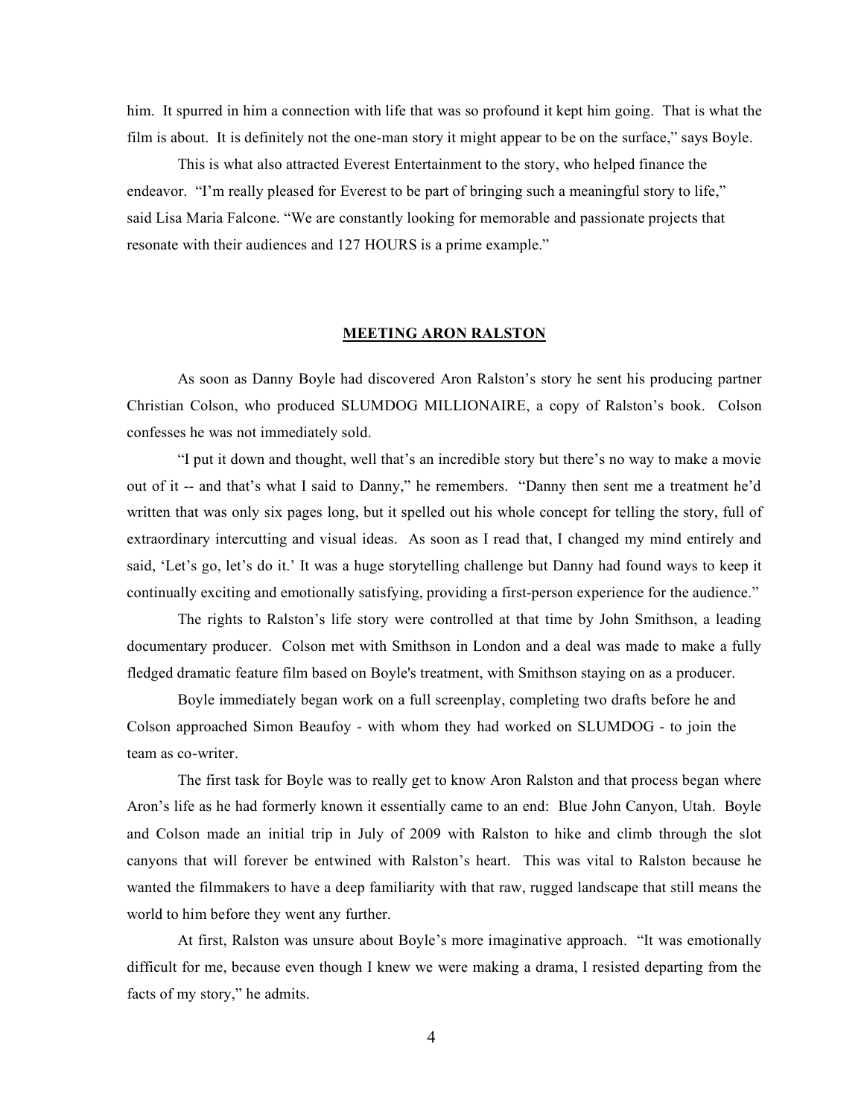him. It spurred in him a connection with life that was so profound it kept him going. That is what the film is about. It is definitely not the one-man story it might appear to be on the surface," says Boyle.

This is what also attracted Everest Entertainment to the story, who helped finance the endeavor. "I'm really pleased for Everest to be part of bringing such a meaningful story to life," said Lisa Maria Falcone. "We are constantly looking for memorable and passionate projects that resonate with their audiences and 127 HOURS is a prime example."

## **MEETING ARON RALSTON**

As soon as Danny Boyle had discovered Aron Ralston's story he sent his producing partner Christian Colson, who produced SLUMDOG MILLIONAIRE, a copy of Ralston's book. Colson confesses he was not immediately sold.

"I put it down and thought, well that's an incredible story but there's no way to make a movie out of it -- and that's what I said to Danny," he remembers. "Danny then sent me a treatment he'd written that was only six pages long, but it spelled out his whole concept for telling the story, full of extraordinary intercutting and visual ideas. As soon as I read that, I changed my mind entirely and said, 'Let's go, let's do it.' It was a huge storytelling challenge but Danny had found ways to keep it continually exciting and emotionally satisfying, providing a first-person experience for the audience."

The rights to Ralston's life story were controlled at that time by John Smithson, a leading documentary producer. Colson met with Smithson in London and a deal was made to make a fully fledged dramatic feature film based on Boyle's treatment, with Smithson staying on as a producer.

Boyle immediately began work on a full screenplay, completing two drafts before he and Colson approached Simon Beaufoy - with whom they had worked on SLUMDOG - to join the team as co-writer.

The first task for Boyle was to really get to know Aron Ralston and that process began where Aron's life as he had formerly known it essentially came to an end: Blue John Canyon, Utah. Boyle and Colson made an initial trip in July of 2009 with Ralston to hike and climb through the slot canyons that will forever be entwined with Ralston's heart. This was vital to Ralston because he wanted the filmmakers to have a deep familiarity with that raw, rugged landscape that still means the world to him before they went any further.

At first, Ralston was unsure about Boyle's more imaginative approach. "It was emotionally difficult for me, because even though I knew we were making a drama, I resisted departing from the facts of my story," he admits.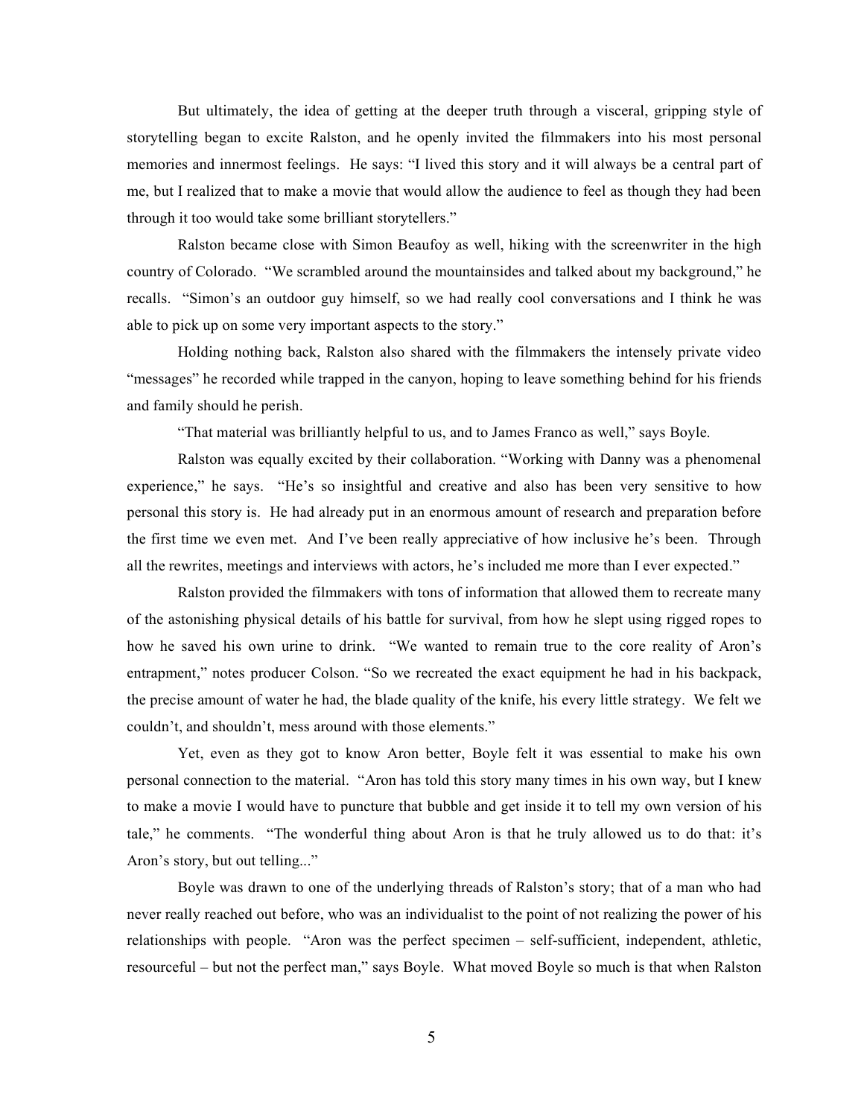But ultimately, the idea of getting at the deeper truth through a visceral, gripping style of storytelling began to excite Ralston, and he openly invited the filmmakers into his most personal memories and innermost feelings. He says: "I lived this story and it will always be a central part of me, but I realized that to make a movie that would allow the audience to feel as though they had been through it too would take some brilliant storytellers."

Ralston became close with Simon Beaufoy as well, hiking with the screenwriter in the high country of Colorado. "We scrambled around the mountainsides and talked about my background," he recalls. "Simon's an outdoor guy himself, so we had really cool conversations and I think he was able to pick up on some very important aspects to the story."

Holding nothing back, Ralston also shared with the filmmakers the intensely private video "messages" he recorded while trapped in the canyon, hoping to leave something behind for his friends and family should he perish.

"That material was brilliantly helpful to us, and to James Franco as well," says Boyle.

Ralston was equally excited by their collaboration. "Working with Danny was a phenomenal experience," he says. "He's so insightful and creative and also has been very sensitive to how personal this story is. He had already put in an enormous amount of research and preparation before the first time we even met. And I've been really appreciative of how inclusive he's been. Through all the rewrites, meetings and interviews with actors, he's included me more than I ever expected."

Ralston provided the filmmakers with tons of information that allowed them to recreate many of the astonishing physical details of his battle for survival, from how he slept using rigged ropes to how he saved his own urine to drink. "We wanted to remain true to the core reality of Aron's entrapment," notes producer Colson. "So we recreated the exact equipment he had in his backpack, the precise amount of water he had, the blade quality of the knife, his every little strategy. We felt we couldn't, and shouldn't, mess around with those elements."

Yet, even as they got to know Aron better, Boyle felt it was essential to make his own personal connection to the material. "Aron has told this story many times in his own way, but I knew to make a movie I would have to puncture that bubble and get inside it to tell my own version of his tale," he comments. "The wonderful thing about Aron is that he truly allowed us to do that: it's Aron's story, but out telling..."

Boyle was drawn to one of the underlying threads of Ralston's story; that of a man who had never really reached out before, who was an individualist to the point of not realizing the power of his relationships with people. "Aron was the perfect specimen – self-sufficient, independent, athletic, resourceful – but not the perfect man," says Boyle. What moved Boyle so much is that when Ralston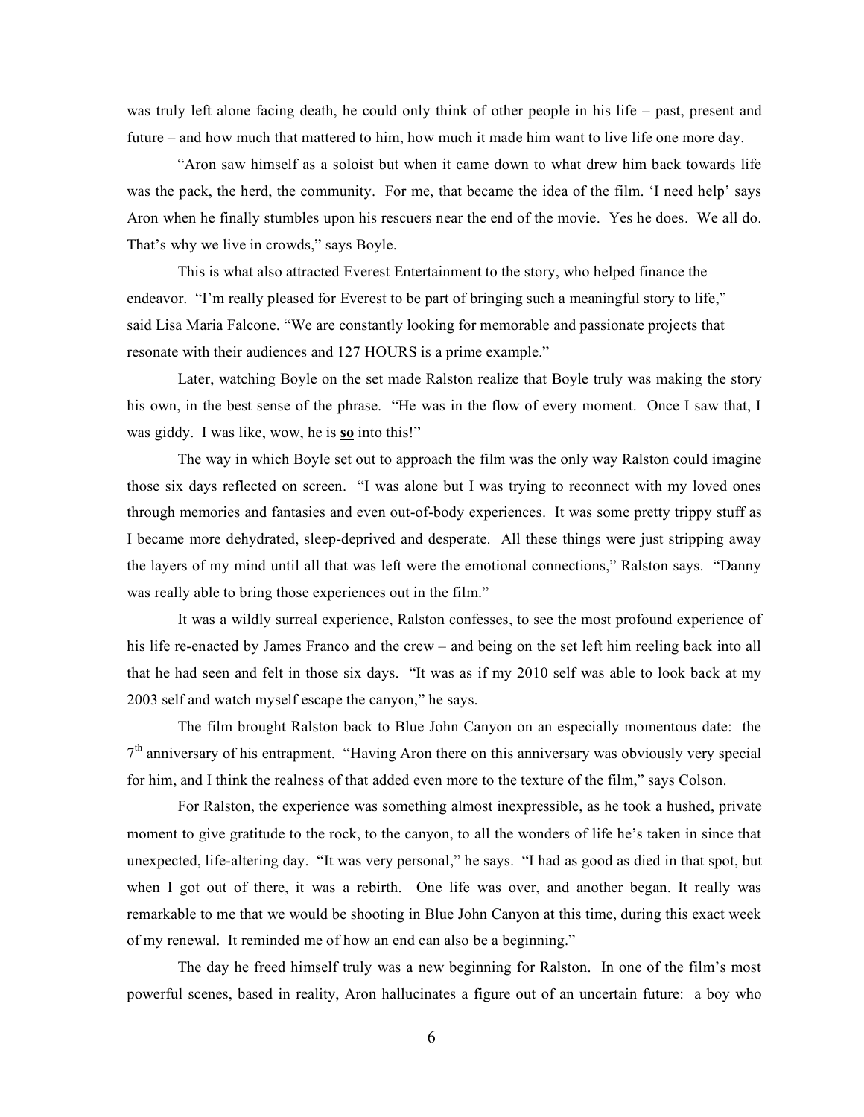was truly left alone facing death, he could only think of other people in his life – past, present and future – and how much that mattered to him, how much it made him want to live life one more day.

"Aron saw himself as a soloist but when it came down to what drew him back towards life was the pack, the herd, the community. For me, that became the idea of the film. 'I need help' says Aron when he finally stumbles upon his rescuers near the end of the movie. Yes he does. We all do. That's why we live in crowds," says Boyle.

This is what also attracted Everest Entertainment to the story, who helped finance the endeavor. "I'm really pleased for Everest to be part of bringing such a meaningful story to life," said Lisa Maria Falcone. "We are constantly looking for memorable and passionate projects that resonate with their audiences and 127 HOURS is a prime example."

Later, watching Boyle on the set made Ralston realize that Boyle truly was making the story his own, in the best sense of the phrase. "He was in the flow of every moment. Once I saw that, I was giddy. I was like, wow, he is **so** into this!"

The way in which Boyle set out to approach the film was the only way Ralston could imagine those six days reflected on screen. "I was alone but I was trying to reconnect with my loved ones through memories and fantasies and even out-of-body experiences. It was some pretty trippy stuff as I became more dehydrated, sleep-deprived and desperate. All these things were just stripping away the layers of my mind until all that was left were the emotional connections," Ralston says. "Danny was really able to bring those experiences out in the film."

It was a wildly surreal experience, Ralston confesses, to see the most profound experience of his life re-enacted by James Franco and the crew – and being on the set left him reeling back into all that he had seen and felt in those six days. "It was as if my 2010 self was able to look back at my 2003 self and watch myself escape the canyon," he says.

The film brought Ralston back to Blue John Canyon on an especially momentous date: the  $7<sup>th</sup>$  anniversary of his entrapment. "Having Aron there on this anniversary was obviously very special for him, and I think the realness of that added even more to the texture of the film," says Colson.

For Ralston, the experience was something almost inexpressible, as he took a hushed, private moment to give gratitude to the rock, to the canyon, to all the wonders of life he's taken in since that unexpected, life-altering day. "It was very personal," he says. "I had as good as died in that spot, but when I got out of there, it was a rebirth. One life was over, and another began. It really was remarkable to me that we would be shooting in Blue John Canyon at this time, during this exact week of my renewal. It reminded me of how an end can also be a beginning."

The day he freed himself truly was a new beginning for Ralston. In one of the film's most powerful scenes, based in reality, Aron hallucinates a figure out of an uncertain future: a boy who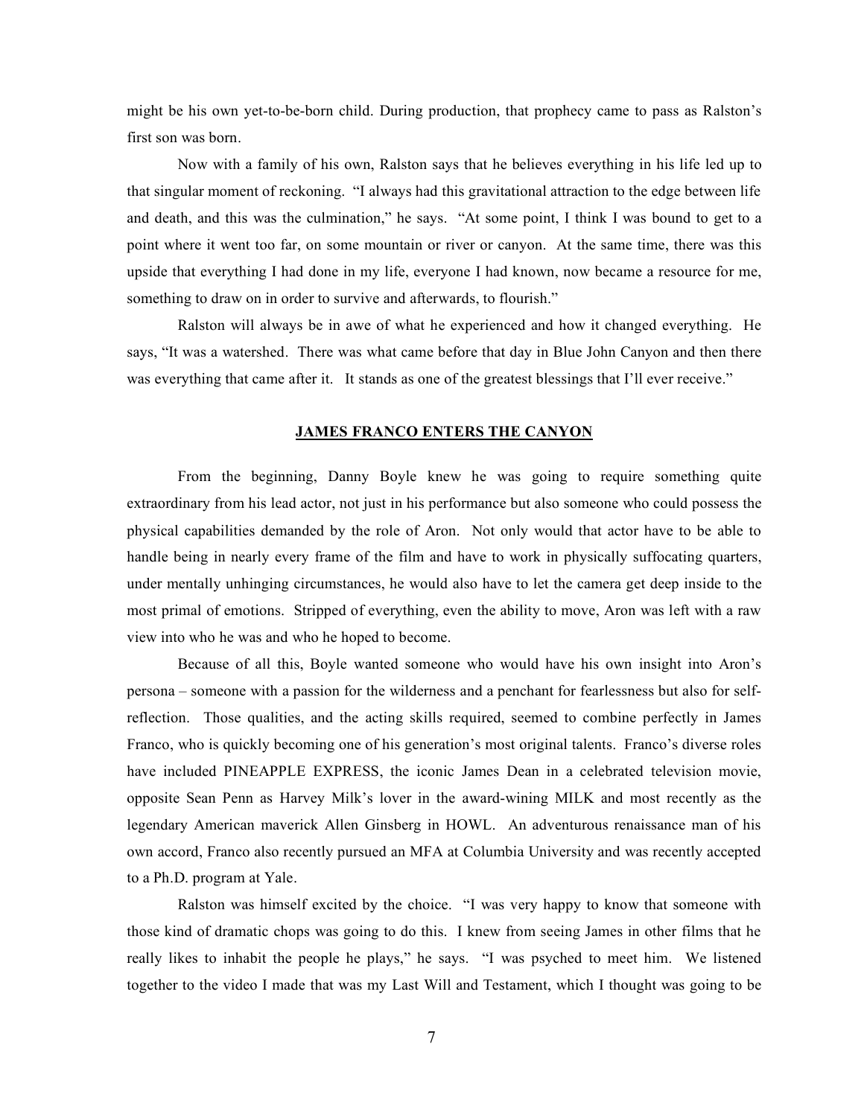might be his own yet-to-be-born child. During production, that prophecy came to pass as Ralston's first son was born.

Now with a family of his own, Ralston says that he believes everything in his life led up to that singular moment of reckoning. "I always had this gravitational attraction to the edge between life and death, and this was the culmination," he says. "At some point, I think I was bound to get to a point where it went too far, on some mountain or river or canyon. At the same time, there was this upside that everything I had done in my life, everyone I had known, now became a resource for me, something to draw on in order to survive and afterwards, to flourish."

Ralston will always be in awe of what he experienced and how it changed everything. He says, "It was a watershed. There was what came before that day in Blue John Canyon and then there was everything that came after it. It stands as one of the greatest blessings that I'll ever receive."

#### **JAMES FRANCO ENTERS THE CANYON**

From the beginning, Danny Boyle knew he was going to require something quite extraordinary from his lead actor, not just in his performance but also someone who could possess the physical capabilities demanded by the role of Aron. Not only would that actor have to be able to handle being in nearly every frame of the film and have to work in physically suffocating quarters, under mentally unhinging circumstances, he would also have to let the camera get deep inside to the most primal of emotions. Stripped of everything, even the ability to move, Aron was left with a raw view into who he was and who he hoped to become.

Because of all this, Boyle wanted someone who would have his own insight into Aron's persona – someone with a passion for the wilderness and a penchant for fearlessness but also for selfreflection. Those qualities, and the acting skills required, seemed to combine perfectly in James Franco, who is quickly becoming one of his generation's most original talents. Franco's diverse roles have included PINEAPPLE EXPRESS, the iconic James Dean in a celebrated television movie, opposite Sean Penn as Harvey Milk's lover in the award-wining MILK and most recently as the legendary American maverick Allen Ginsberg in HOWL. An adventurous renaissance man of his own accord, Franco also recently pursued an MFA at Columbia University and was recently accepted to a Ph.D. program at Yale.

Ralston was himself excited by the choice. "I was very happy to know that someone with those kind of dramatic chops was going to do this. I knew from seeing James in other films that he really likes to inhabit the people he plays," he says. "I was psyched to meet him. We listened together to the video I made that was my Last Will and Testament, which I thought was going to be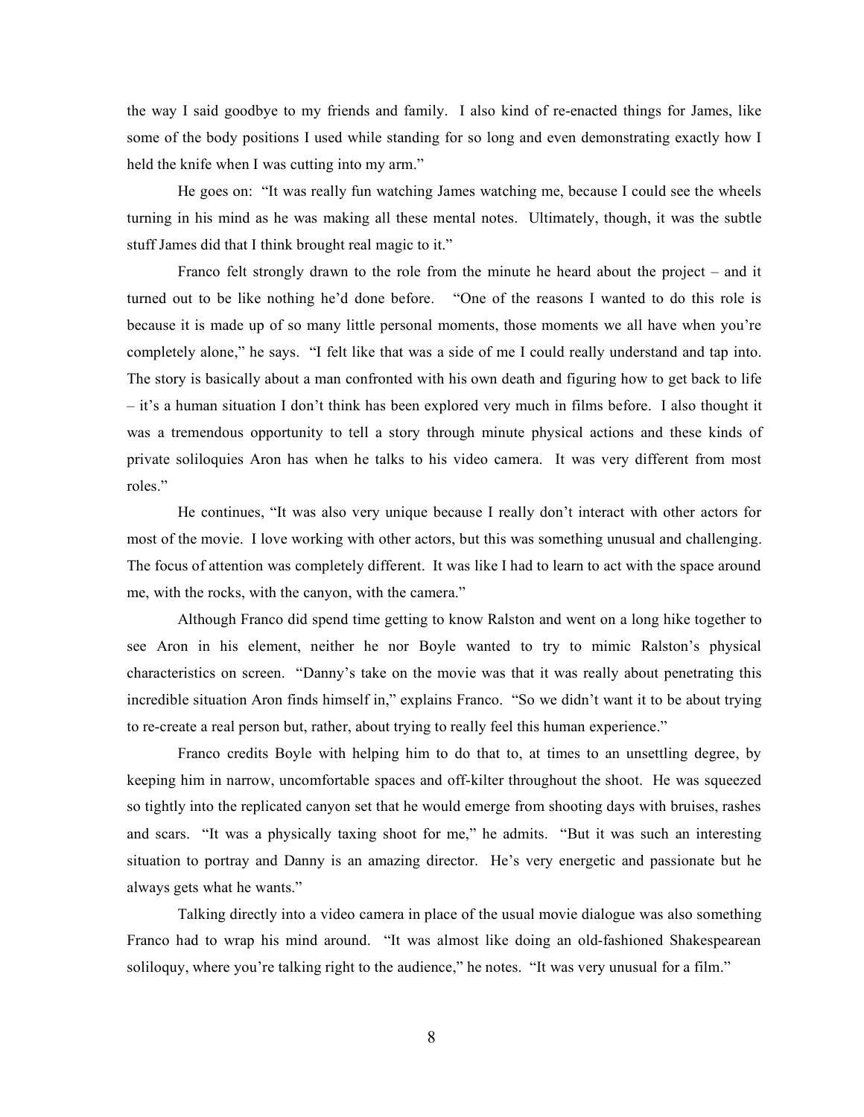the way I said goodbye to my friends and family. I also kind of re-enacted things for James, like some of the body positions I used while standing for so long and even demonstrating exactly how I held the knife when I was cutting into my arm."

He goes on: "It was really fun watching James watching me, because I could see the wheels turning in his mind as he was making all these mental notes. Ultimately, though, it was the subtle stuff James did that I think brought real magic to it."

Franco felt strongly drawn to the role from the minute he heard about the project – and it turned out to be like nothing he'd done before. "One of the reasons I wanted to do this role is because it is made up of so many little personal moments, those moments we all have when you're completely alone," he says. "I felt like that was a side of me I could really understand and tap into. The story is basically about a man confronted with his own death and figuring how to get back to life – it's a human situation I don't think has been explored very much in films before. I also thought it was a tremendous opportunity to tell a story through minute physical actions and these kinds of private soliloquies Aron has when he talks to his video camera. It was very different from most roles."

He continues, "It was also very unique because I really don't interact with other actors for most of the movie. I love working with other actors, but this was something unusual and challenging. The focus of attention was completely different. It was like I had to learn to act with the space around me, with the rocks, with the canyon, with the camera."

Although Franco did spend time getting to know Ralston and went on a long hike together to see Aron in his element, neither he nor Boyle wanted to try to mimic Ralston's physical characteristics on screen. "Danny's take on the movie was that it was really about penetrating this incredible situation Aron finds himself in," explains Franco. "So we didn't want it to be about trying to re-create a real person but, rather, about trying to really feel this human experience."

Franco credits Boyle with helping him to do that to, at times to an unsettling degree, by keeping him in narrow, uncomfortable spaces and off-kilter throughout the shoot. He was squeezed so tightly into the replicated canyon set that he would emerge from shooting days with bruises, rashes and scars. "It was a physically taxing shoot for me," he admits. "But it was such an interesting situation to portray and Danny is an amazing director. He's very energetic and passionate but he always gets what he wants."

Talking directly into a video camera in place of the usual movie dialogue was also something Franco had to wrap his mind around. "It was almost like doing an old-fashioned Shakespearean soliloquy, where you're talking right to the audience," he notes. "It was very unusual for a film."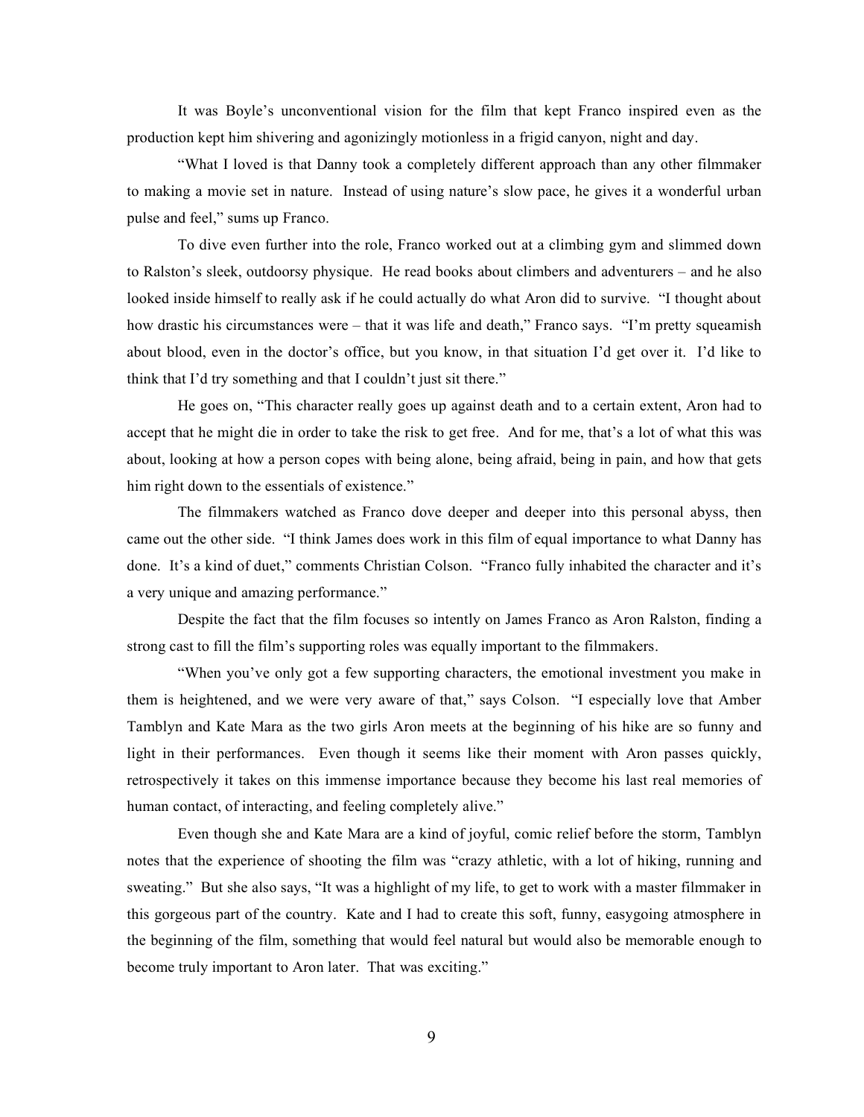It was Boyle's unconventional vision for the film that kept Franco inspired even as the production kept him shivering and agonizingly motionless in a frigid canyon, night and day.

"What I loved is that Danny took a completely different approach than any other filmmaker to making a movie set in nature. Instead of using nature's slow pace, he gives it a wonderful urban pulse and feel," sums up Franco.

To dive even further into the role, Franco worked out at a climbing gym and slimmed down to Ralston's sleek, outdoorsy physique. He read books about climbers and adventurers – and he also looked inside himself to really ask if he could actually do what Aron did to survive. "I thought about how drastic his circumstances were – that it was life and death," Franco says. "I'm pretty squeamish about blood, even in the doctor's office, but you know, in that situation I'd get over it. I'd like to think that I'd try something and that I couldn't just sit there."

He goes on, "This character really goes up against death and to a certain extent, Aron had to accept that he might die in order to take the risk to get free. And for me, that's a lot of what this was about, looking at how a person copes with being alone, being afraid, being in pain, and how that gets him right down to the essentials of existence."

The filmmakers watched as Franco dove deeper and deeper into this personal abyss, then came out the other side. "I think James does work in this film of equal importance to what Danny has done. It's a kind of duet," comments Christian Colson. "Franco fully inhabited the character and it's a very unique and amazing performance."

Despite the fact that the film focuses so intently on James Franco as Aron Ralston, finding a strong cast to fill the film's supporting roles was equally important to the filmmakers.

"When you've only got a few supporting characters, the emotional investment you make in them is heightened, and we were very aware of that," says Colson. "I especially love that Amber Tamblyn and Kate Mara as the two girls Aron meets at the beginning of his hike are so funny and light in their performances. Even though it seems like their moment with Aron passes quickly, retrospectively it takes on this immense importance because they become his last real memories of human contact, of interacting, and feeling completely alive."

Even though she and Kate Mara are a kind of joyful, comic relief before the storm, Tamblyn notes that the experience of shooting the film was "crazy athletic, with a lot of hiking, running and sweating." But she also says, "It was a highlight of my life, to get to work with a master filmmaker in this gorgeous part of the country. Kate and I had to create this soft, funny, easygoing atmosphere in the beginning of the film, something that would feel natural but would also be memorable enough to become truly important to Aron later. That was exciting."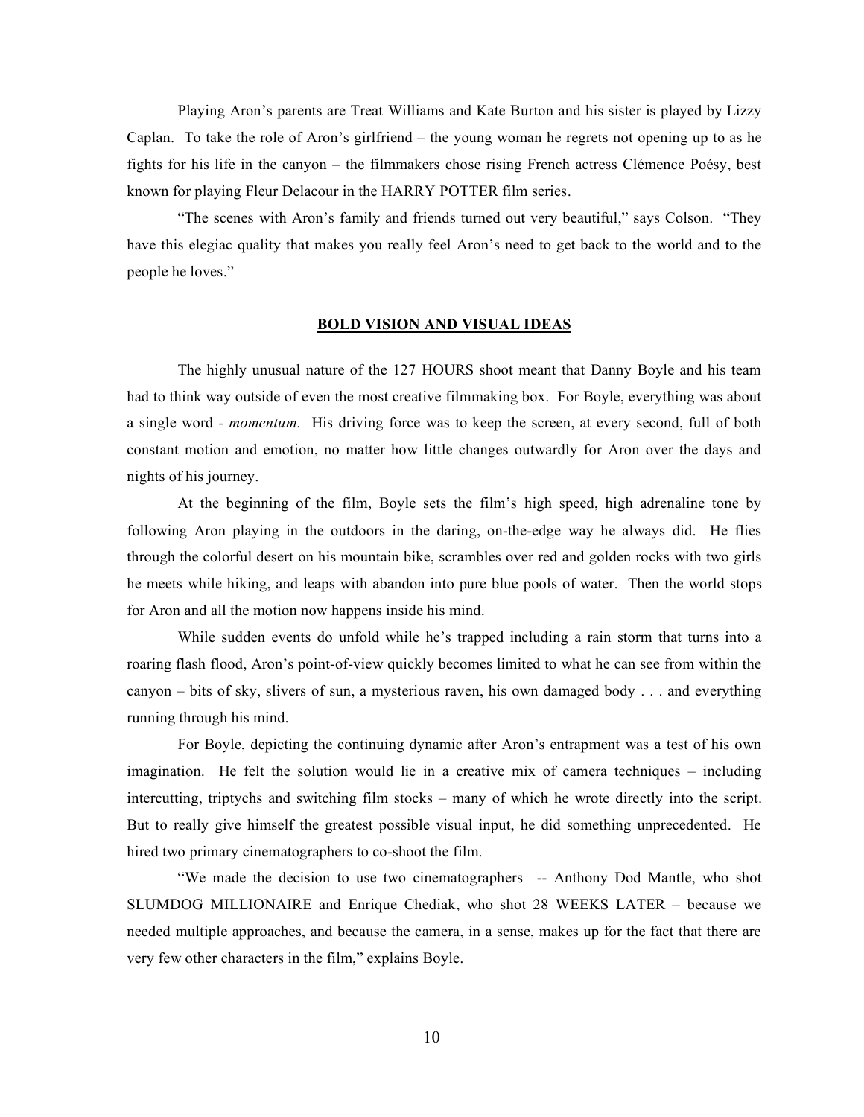Playing Aron's parents are Treat Williams and Kate Burton and his sister is played by Lizzy Caplan. To take the role of Aron's girlfriend – the young woman he regrets not opening up to as he fights for his life in the canyon – the filmmakers chose rising French actress Clémence Poésy, best known for playing Fleur Delacour in the HARRY POTTER film series.

"The scenes with Aron's family and friends turned out very beautiful," says Colson. "They have this elegiac quality that makes you really feel Aron's need to get back to the world and to the people he loves."

## **BOLD VISION AND VISUAL IDEAS**

The highly unusual nature of the 127 HOURS shoot meant that Danny Boyle and his team had to think way outside of even the most creative filmmaking box. For Boyle, everything was about a single word *- momentum.* His driving force was to keep the screen, at every second, full of both constant motion and emotion, no matter how little changes outwardly for Aron over the days and nights of his journey.

At the beginning of the film, Boyle sets the film's high speed, high adrenaline tone by following Aron playing in the outdoors in the daring, on-the-edge way he always did. He flies through the colorful desert on his mountain bike, scrambles over red and golden rocks with two girls he meets while hiking, and leaps with abandon into pure blue pools of water. Then the world stops for Aron and all the motion now happens inside his mind.

While sudden events do unfold while he's trapped including a rain storm that turns into a roaring flash flood, Aron's point-of-view quickly becomes limited to what he can see from within the canyon – bits of sky, slivers of sun, a mysterious raven, his own damaged body . . . and everything running through his mind.

For Boyle, depicting the continuing dynamic after Aron's entrapment was a test of his own imagination. He felt the solution would lie in a creative mix of camera techniques – including intercutting, triptychs and switching film stocks – many of which he wrote directly into the script. But to really give himself the greatest possible visual input, he did something unprecedented. He hired two primary cinematographers to co-shoot the film.

"We made the decision to use two cinematographers -- Anthony Dod Mantle, who shot SLUMDOG MILLIONAIRE and Enrique Chediak, who shot 28 WEEKS LATER – because we needed multiple approaches, and because the camera, in a sense, makes up for the fact that there are very few other characters in the film," explains Boyle.

10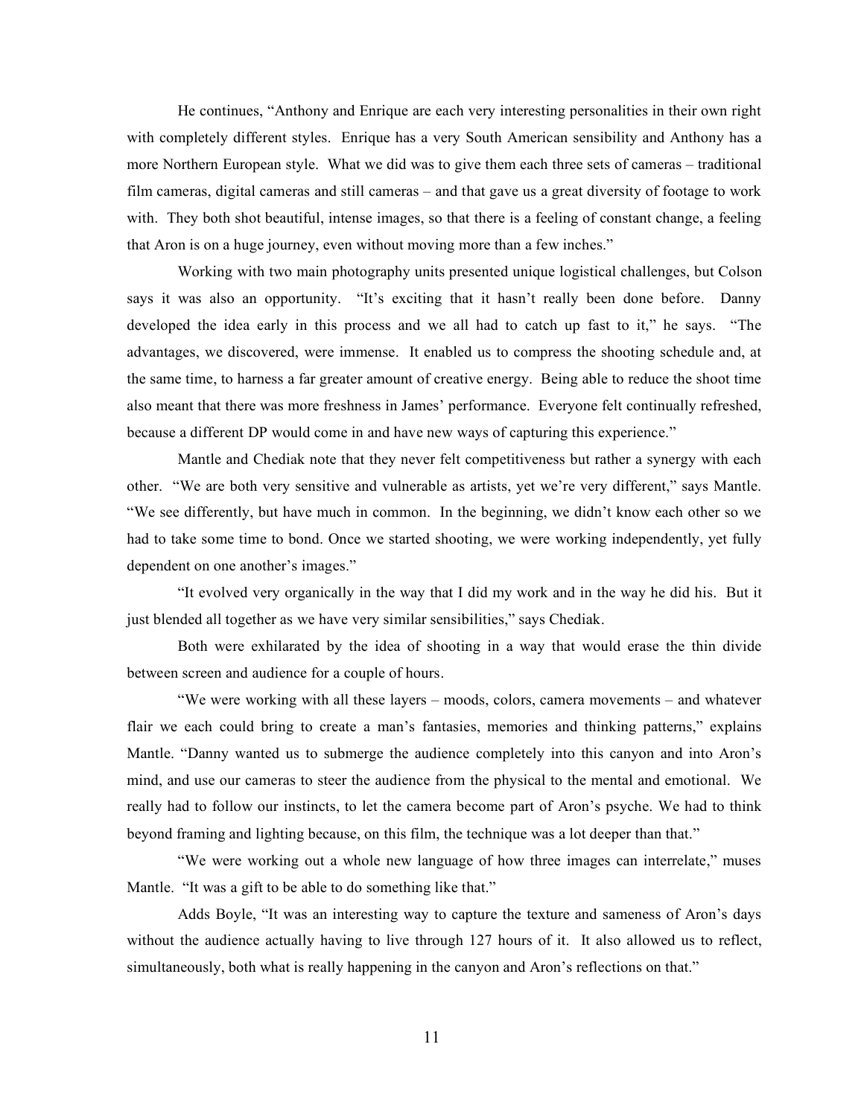He continues, "Anthony and Enrique are each very interesting personalities in their own right with completely different styles. Enrique has a very South American sensibility and Anthony has a more Northern European style. What we did was to give them each three sets of cameras – traditional film cameras, digital cameras and still cameras – and that gave us a great diversity of footage to work with. They both shot beautiful, intense images, so that there is a feeling of constant change, a feeling that Aron is on a huge journey, even without moving more than a few inches."

Working with two main photography units presented unique logistical challenges, but Colson says it was also an opportunity. "It's exciting that it hasn't really been done before. Danny developed the idea early in this process and we all had to catch up fast to it," he says. "The advantages, we discovered, were immense. It enabled us to compress the shooting schedule and, at the same time, to harness a far greater amount of creative energy. Being able to reduce the shoot time also meant that there was more freshness in James' performance. Everyone felt continually refreshed, because a different DP would come in and have new ways of capturing this experience."

Mantle and Chediak note that they never felt competitiveness but rather a synergy with each other. "We are both very sensitive and vulnerable as artists, yet we're very different," says Mantle. "We see differently, but have much in common. In the beginning, we didn't know each other so we had to take some time to bond. Once we started shooting, we were working independently, yet fully dependent on one another's images."

"It evolved very organically in the way that I did my work and in the way he did his. But it just blended all together as we have very similar sensibilities," says Chediak.

Both were exhilarated by the idea of shooting in a way that would erase the thin divide between screen and audience for a couple of hours.

"We were working with all these layers – moods, colors, camera movements – and whatever flair we each could bring to create a man's fantasies, memories and thinking patterns," explains Mantle. "Danny wanted us to submerge the audience completely into this canyon and into Aron's mind, and use our cameras to steer the audience from the physical to the mental and emotional. We really had to follow our instincts, to let the camera become part of Aron's psyche. We had to think beyond framing and lighting because, on this film, the technique was a lot deeper than that."

"We were working out a whole new language of how three images can interrelate," muses Mantle. "It was a gift to be able to do something like that."

Adds Boyle, "It was an interesting way to capture the texture and sameness of Aron's days without the audience actually having to live through 127 hours of it. It also allowed us to reflect, simultaneously, both what is really happening in the canyon and Aron's reflections on that."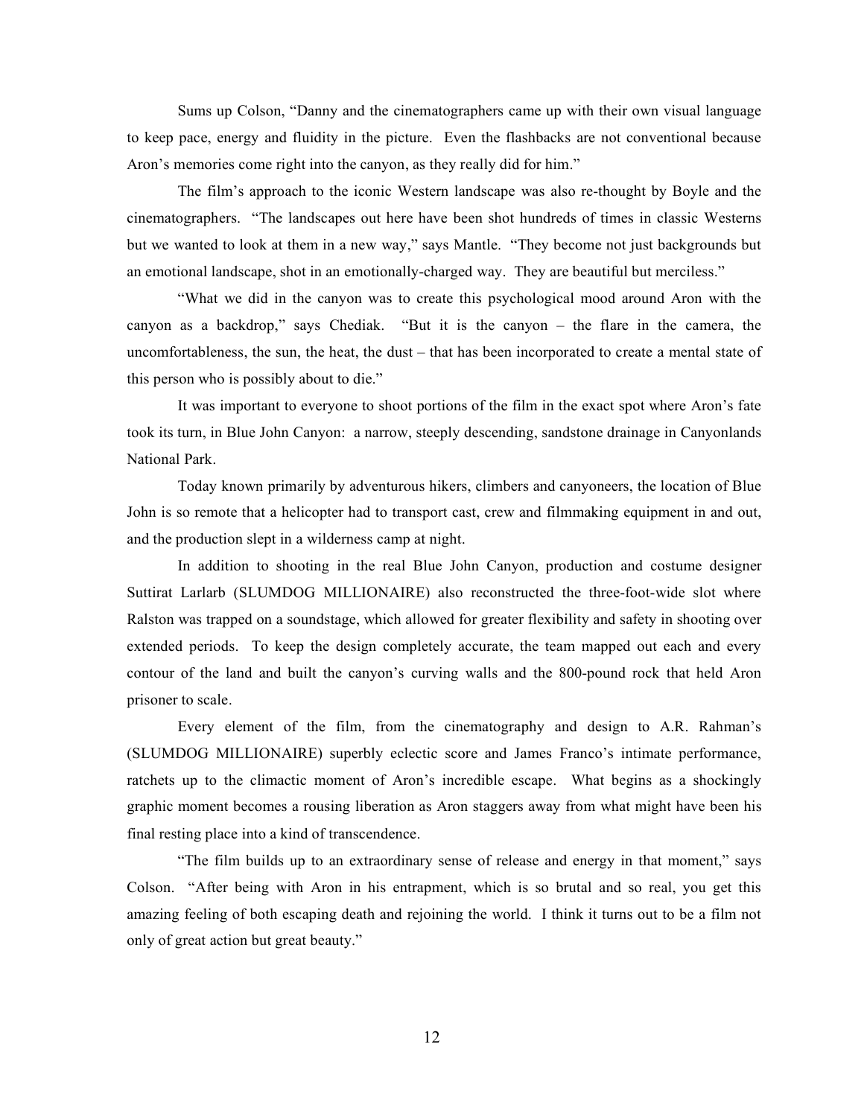Sums up Colson, "Danny and the cinematographers came up with their own visual language to keep pace, energy and fluidity in the picture. Even the flashbacks are not conventional because Aron's memories come right into the canyon, as they really did for him."

The film's approach to the iconic Western landscape was also re-thought by Boyle and the cinematographers. "The landscapes out here have been shot hundreds of times in classic Westerns but we wanted to look at them in a new way," says Mantle. "They become not just backgrounds but an emotional landscape, shot in an emotionally-charged way. They are beautiful but merciless."

"What we did in the canyon was to create this psychological mood around Aron with the canyon as a backdrop," says Chediak. "But it is the canyon – the flare in the camera, the uncomfortableness, the sun, the heat, the dust – that has been incorporated to create a mental state of this person who is possibly about to die."

It was important to everyone to shoot portions of the film in the exact spot where Aron's fate took its turn, in Blue John Canyon: a narrow, steeply descending, sandstone drainage in Canyonlands National Park.

Today known primarily by adventurous hikers, climbers and canyoneers, the location of Blue John is so remote that a helicopter had to transport cast, crew and filmmaking equipment in and out, and the production slept in a wilderness camp at night.

In addition to shooting in the real Blue John Canyon, production and costume designer Suttirat Larlarb (SLUMDOG MILLIONAIRE) also reconstructed the three-foot-wide slot where Ralston was trapped on a soundstage, which allowed for greater flexibility and safety in shooting over extended periods. To keep the design completely accurate, the team mapped out each and every contour of the land and built the canyon's curving walls and the 800-pound rock that held Aron prisoner to scale.

Every element of the film, from the cinematography and design to A.R. Rahman's (SLUMDOG MILLIONAIRE) superbly eclectic score and James Franco's intimate performance, ratchets up to the climactic moment of Aron's incredible escape. What begins as a shockingly graphic moment becomes a rousing liberation as Aron staggers away from what might have been his final resting place into a kind of transcendence.

"The film builds up to an extraordinary sense of release and energy in that moment," says Colson. "After being with Aron in his entrapment, which is so brutal and so real, you get this amazing feeling of both escaping death and rejoining the world. I think it turns out to be a film not only of great action but great beauty."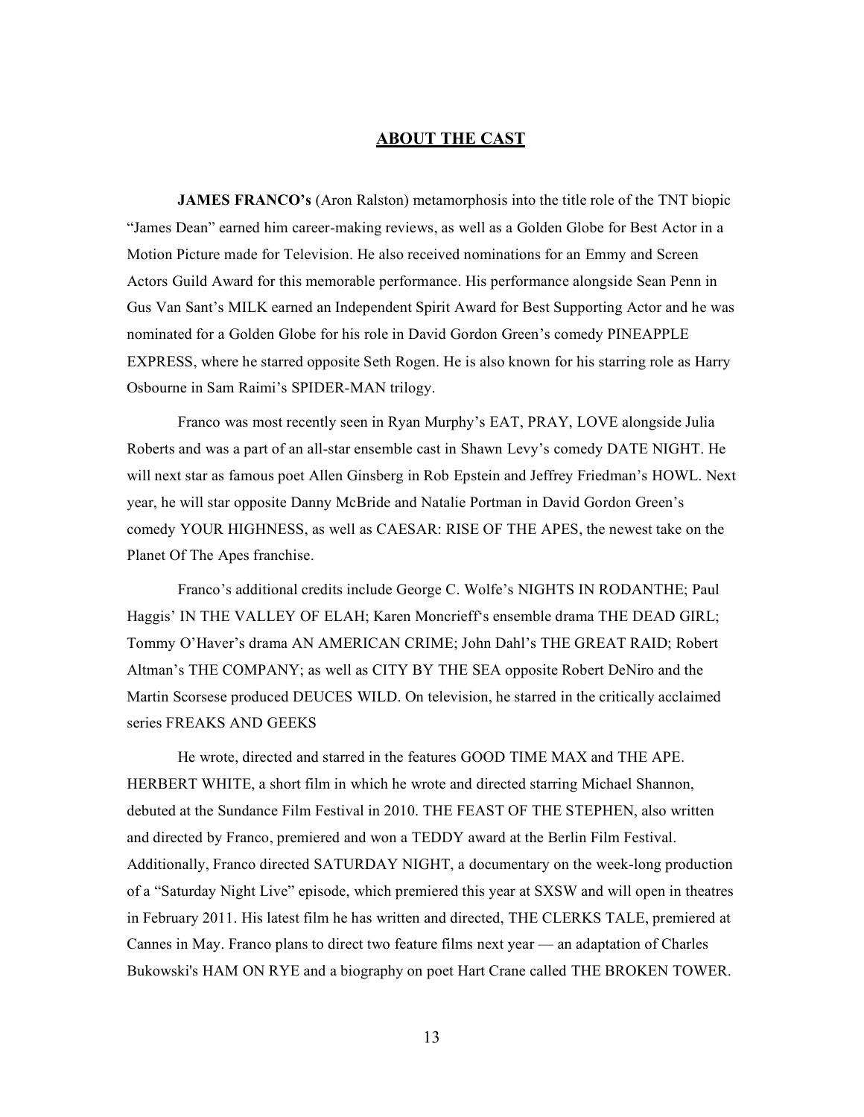### **ABOUT THE CAST**

**JAMES FRANCO's** (Aron Ralston) metamorphosis into the title role of the TNT biopic "James Dean" earned him career-making reviews, as well as a Golden Globe for Best Actor in a Motion Picture made for Television. He also received nominations for an Emmy and Screen Actors Guild Award for this memorable performance. His performance alongside Sean Penn in Gus Van Sant's MILK earned an Independent Spirit Award for Best Supporting Actor and he was nominated for a Golden Globe for his role in David Gordon Green's comedy PINEAPPLE EXPRESS, where he starred opposite Seth Rogen. He is also known for his starring role as Harry Osbourne in Sam Raimi's SPIDER-MAN trilogy.

Franco was most recently seen in Ryan Murphy's EAT, PRAY, LOVE alongside Julia Roberts and was a part of an all-star ensemble cast in Shawn Levy's comedy DATE NIGHT. He will next star as famous poet Allen Ginsberg in Rob Epstein and Jeffrey Friedman's HOWL. Next year, he will star opposite Danny McBride and Natalie Portman in David Gordon Green's comedy YOUR HIGHNESS, as well as CAESAR: RISE OF THE APES, the newest take on the Planet Of The Apes franchise.

Franco's additional credits include George C. Wolfe's NIGHTS IN RODANTHE; Paul Haggis' IN THE VALLEY OF ELAH; Karen Moncrieff's ensemble drama THE DEAD GIRL; Tommy O'Haver's drama AN AMERICAN CRIME; John Dahl's THE GREAT RAID; Robert Altman's THE COMPANY; as well as CITY BY THE SEA opposite Robert DeNiro and the Martin Scorsese produced DEUCES WILD. On television, he starred in the critically acclaimed series FREAKS AND GEEKS

He wrote, directed and starred in the features GOOD TIME MAX and THE APE. HERBERT WHITE, a short film in which he wrote and directed starring Michael Shannon, debuted at the Sundance Film Festival in 2010. THE FEAST OF THE STEPHEN, also written and directed by Franco, premiered and won a TEDDY award at the Berlin Film Festival. Additionally, Franco directed SATURDAY NIGHT, a documentary on the week-long production of a "Saturday Night Live" episode, which premiered this year at SXSW and will open in theatres in February 2011. His latest film he has written and directed, THE CLERKS TALE, premiered at Cannes in May. Franco plans to direct two feature films next year — an adaptation of Charles Bukowski's HAM ON RYE and a biography on poet Hart Crane called THE BROKEN TOWER.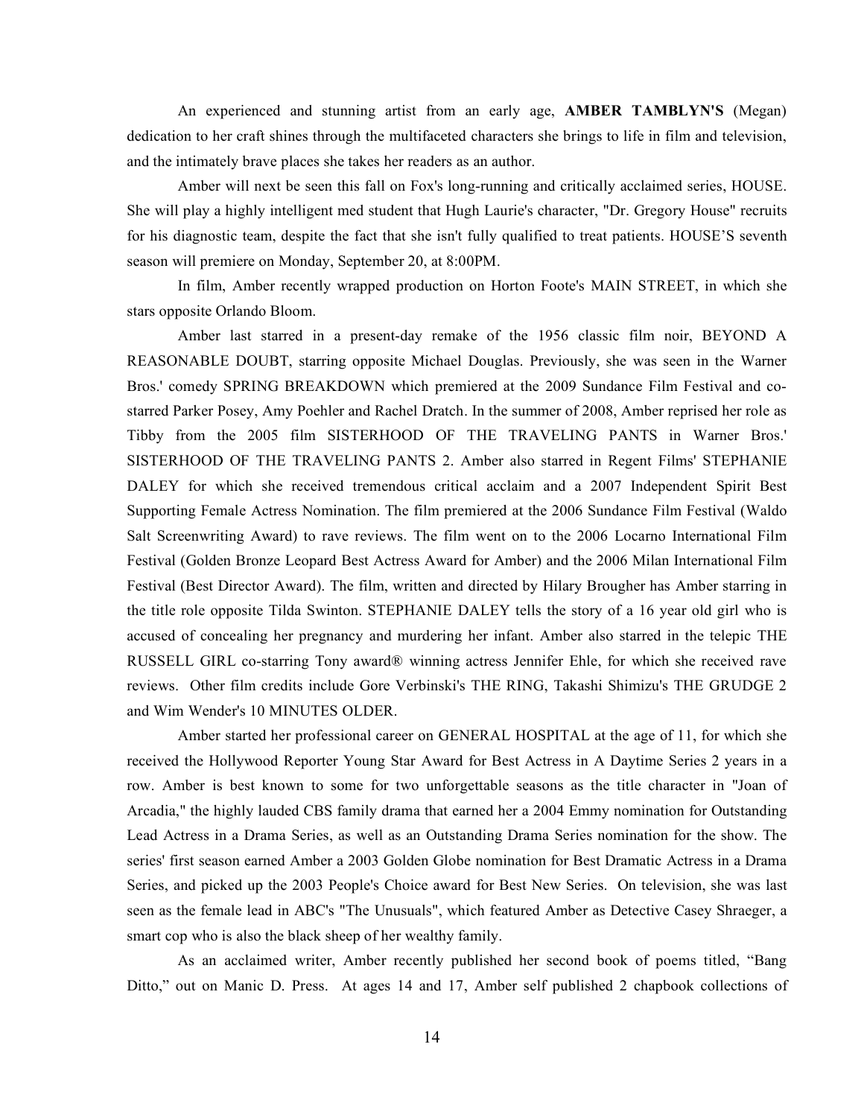An experienced and stunning artist from an early age, **AMBER TAMBLYN'S** (Megan) dedication to her craft shines through the multifaceted characters she brings to life in film and television, and the intimately brave places she takes her readers as an author.

Amber will next be seen this fall on Fox's long-running and critically acclaimed series, HOUSE. She will play a highly intelligent med student that Hugh Laurie's character, "Dr. Gregory House" recruits for his diagnostic team, despite the fact that she isn't fully qualified to treat patients. HOUSE'S seventh season will premiere on Monday, September 20, at 8:00PM.

In film, Amber recently wrapped production on Horton Foote's MAIN STREET, in which she stars opposite Orlando Bloom.

Amber last starred in a present-day remake of the 1956 classic film noir, BEYOND A REASONABLE DOUBT, starring opposite Michael Douglas. Previously, she was seen in the Warner Bros.' comedy SPRING BREAKDOWN which premiered at the 2009 Sundance Film Festival and costarred Parker Posey, Amy Poehler and Rachel Dratch. In the summer of 2008, Amber reprised her role as Tibby from the 2005 film SISTERHOOD OF THE TRAVELING PANTS in Warner Bros.' SISTERHOOD OF THE TRAVELING PANTS 2. Amber also starred in Regent Films' STEPHANIE DALEY for which she received tremendous critical acclaim and a 2007 Independent Spirit Best Supporting Female Actress Nomination. The film premiered at the 2006 Sundance Film Festival (Waldo Salt Screenwriting Award) to rave reviews. The film went on to the 2006 Locarno International Film Festival (Golden Bronze Leopard Best Actress Award for Amber) and the 2006 Milan International Film Festival (Best Director Award). The film, written and directed by Hilary Brougher has Amber starring in the title role opposite Tilda Swinton. STEPHANIE DALEY tells the story of a 16 year old girl who is accused of concealing her pregnancy and murdering her infant. Amber also starred in the telepic THE RUSSELL GIRL co-starring Tony award® winning actress Jennifer Ehle, for which she received rave reviews. Other film credits include Gore Verbinski's THE RING, Takashi Shimizu's THE GRUDGE 2 and Wim Wender's 10 MINUTES OLDER.

Amber started her professional career on GENERAL HOSPITAL at the age of 11, for which she received the Hollywood Reporter Young Star Award for Best Actress in A Daytime Series 2 years in a row. Amber is best known to some for two unforgettable seasons as the title character in "Joan of Arcadia," the highly lauded CBS family drama that earned her a 2004 Emmy nomination for Outstanding Lead Actress in a Drama Series, as well as an Outstanding Drama Series nomination for the show. The series' first season earned Amber a 2003 Golden Globe nomination for Best Dramatic Actress in a Drama Series, and picked up the 2003 People's Choice award for Best New Series. On television, she was last seen as the female lead in ABC's "The Unusuals", which featured Amber as Detective Casey Shraeger, a smart cop who is also the black sheep of her wealthy family.

As an acclaimed writer, Amber recently published her second book of poems titled, "Bang Ditto," out on Manic D. Press. At ages 14 and 17, Amber self published 2 chapbook collections of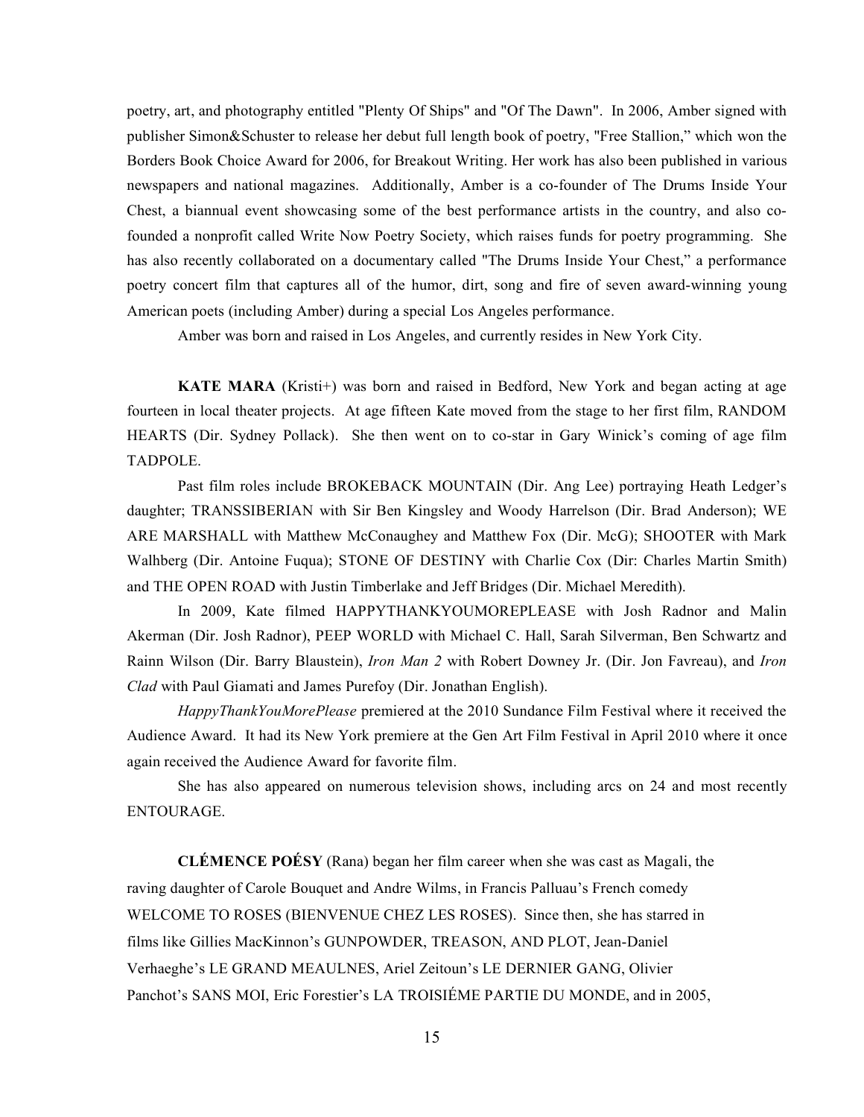poetry, art, and photography entitled "Plenty Of Ships" and "Of The Dawn". In 2006, Amber signed with publisher Simon&Schuster to release her debut full length book of poetry, "Free Stallion," which won the Borders Book Choice Award for 2006, for Breakout Writing. Her work has also been published in various newspapers and national magazines. Additionally, Amber is a co-founder of The Drums Inside Your Chest, a biannual event showcasing some of the best performance artists in the country, and also cofounded a nonprofit called Write Now Poetry Society, which raises funds for poetry programming. She has also recently collaborated on a documentary called "The Drums Inside Your Chest," a performance poetry concert film that captures all of the humor, dirt, song and fire of seven award-winning young American poets (including Amber) during a special Los Angeles performance.

Amber was born and raised in Los Angeles, and currently resides in New York City.

**KATE MARA** (Kristi+) was born and raised in Bedford, New York and began acting at age fourteen in local theater projects. At age fifteen Kate moved from the stage to her first film, RANDOM HEARTS (Dir. Sydney Pollack). She then went on to co-star in Gary Winick's coming of age film TADPOLE.

Past film roles include BROKEBACK MOUNTAIN (Dir. Ang Lee) portraying Heath Ledger's daughter; TRANSSIBERIAN with Sir Ben Kingsley and Woody Harrelson (Dir. Brad Anderson); WE ARE MARSHALL with Matthew McConaughey and Matthew Fox (Dir. McG); SHOOTER with Mark Walhberg (Dir. Antoine Fuqua); STONE OF DESTINY with Charlie Cox (Dir: Charles Martin Smith) and THE OPEN ROAD with Justin Timberlake and Jeff Bridges (Dir. Michael Meredith).

In 2009, Kate filmed HAPPYTHANKYOUMOREPLEASE with Josh Radnor and Malin Akerman (Dir. Josh Radnor), PEEP WORLD with Michael C. Hall, Sarah Silverman, Ben Schwartz and Rainn Wilson (Dir. Barry Blaustein), *Iron Man 2* with Robert Downey Jr. (Dir. Jon Favreau), and *Iron Clad* with Paul Giamati and James Purefoy (Dir. Jonathan English).

*HappyThankYouMorePlease* premiered at the 2010 Sundance Film Festival where it received the Audience Award. It had its New York premiere at the Gen Art Film Festival in April 2010 where it once again received the Audience Award for favorite film.

She has also appeared on numerous television shows, including arcs on 24 and most recently ENTOURAGE.

**CLÉMENCE POÉSY** (Rana) began her film career when she was cast as Magali, the raving daughter of Carole Bouquet and Andre Wilms, in Francis Palluau's French comedy WELCOME TO ROSES (BIENVENUE CHEZ LES ROSES). Since then, she has starred in films like Gillies MacKinnon's GUNPOWDER, TREASON, AND PLOT, Jean-Daniel Verhaeghe's LE GRAND MEAULNES, Ariel Zeitoun's LE DERNIER GANG, Olivier Panchot's SANS MOI, Eric Forestier's LA TROISIÉME PARTIE DU MONDE, and in 2005,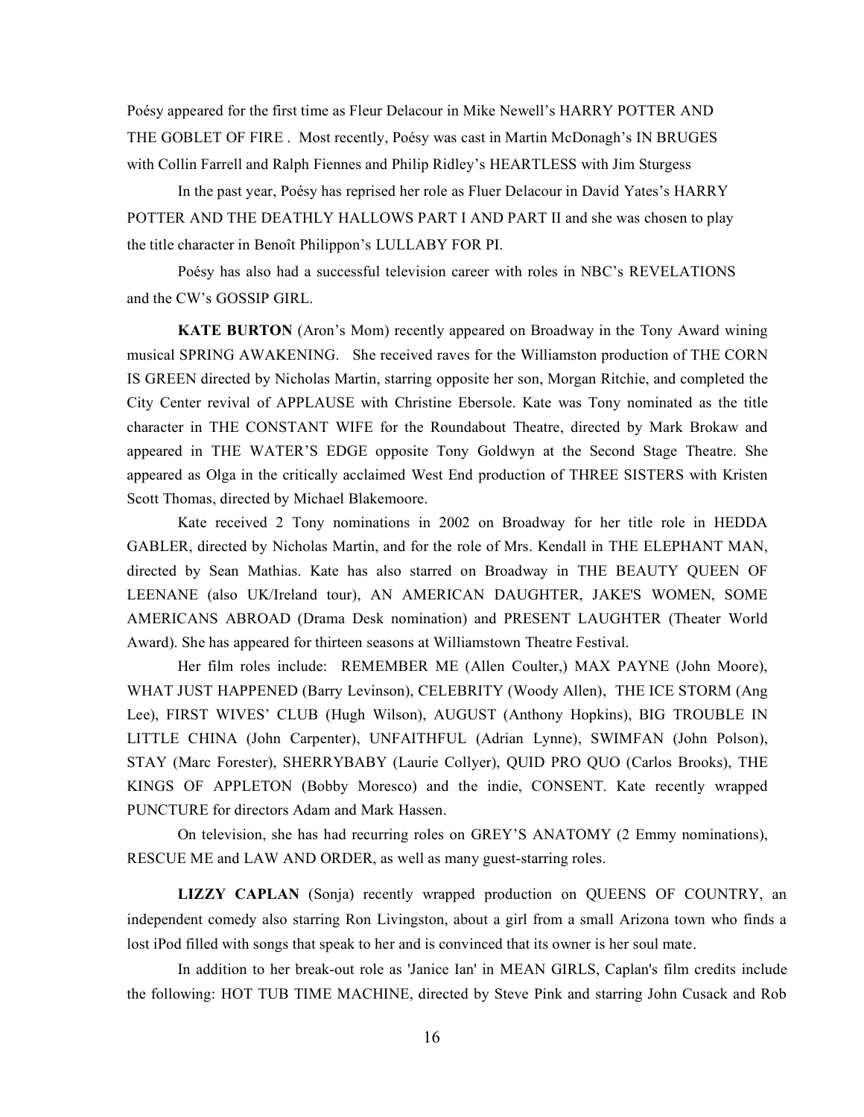Poésy appeared for the first time as Fleur Delacour in Mike Newell's HARRY POTTER AND THE GOBLET OF FIRE . Most recently, Poésy was cast in Martin McDonagh's IN BRUGES with Collin Farrell and Ralph Fiennes and Philip Ridley's HEARTLESS with Jim Sturgess

In the past year, Poésy has reprised her role as Fluer Delacour in David Yates's HARRY POTTER AND THE DEATHLY HALLOWS PART I AND PART II and she was chosen to play the title character in Benoît Philippon's LULLABY FOR PI.

Poésy has also had a successful television career with roles in NBC's REVELATIONS and the CW's GOSSIP GIRL.

**KATE BURTON** (Aron's Mom) recently appeared on Broadway in the Tony Award wining musical SPRING AWAKENING. She received raves for the Williamston production of THE CORN IS GREEN directed by Nicholas Martin, starring opposite her son, Morgan Ritchie, and completed the City Center revival of APPLAUSE with Christine Ebersole. Kate was Tony nominated as the title character in THE CONSTANT WIFE for the Roundabout Theatre, directed by Mark Brokaw and appeared in THE WATER'S EDGE opposite Tony Goldwyn at the Second Stage Theatre. She appeared as Olga in the critically acclaimed West End production of THREE SISTERS with Kristen Scott Thomas, directed by Michael Blakemoore.

Kate received 2 Tony nominations in 2002 on Broadway for her title role in HEDDA GABLER, directed by Nicholas Martin, and for the role of Mrs. Kendall in THE ELEPHANT MAN, directed by Sean Mathias. Kate has also starred on Broadway in THE BEAUTY QUEEN OF LEENANE (also UK/Ireland tour), AN AMERICAN DAUGHTER, JAKE'S WOMEN, SOME AMERICANS ABROAD (Drama Desk nomination) and PRESENT LAUGHTER (Theater World Award). She has appeared for thirteen seasons at Williamstown Theatre Festival.

Her film roles include: REMEMBER ME (Allen Coulter,) MAX PAYNE (John Moore), WHAT JUST HAPPENED (Barry Levinson), CELEBRITY (Woody Allen), THE ICE STORM (Ang Lee), FIRST WIVES' CLUB (Hugh Wilson), AUGUST (Anthony Hopkins), BIG TROUBLE IN LITTLE CHINA (John Carpenter), UNFAITHFUL (Adrian Lynne), SWIMFAN (John Polson), STAY (Marc Forester), SHERRYBABY (Laurie Collyer), QUID PRO QUO (Carlos Brooks), THE KINGS OF APPLETON (Bobby Moresco) and the indie, CONSENT. Kate recently wrapped PUNCTURE for directors Adam and Mark Hassen.

On television, she has had recurring roles on GREY'S ANATOMY (2 Emmy nominations), RESCUE ME and LAW AND ORDER, as well as many guest-starring roles.

**LIZZY CAPLAN** (Sonja) recently wrapped production on QUEENS OF COUNTRY, an independent comedy also starring Ron Livingston, about a girl from a small Arizona town who finds a lost iPod filled with songs that speak to her and is convinced that its owner is her soul mate.

In addition to her break-out role as 'Janice Ian' in MEAN GIRLS, Caplan's film credits include the following: HOT TUB TIME MACHINE, directed by Steve Pink and starring John Cusack and Rob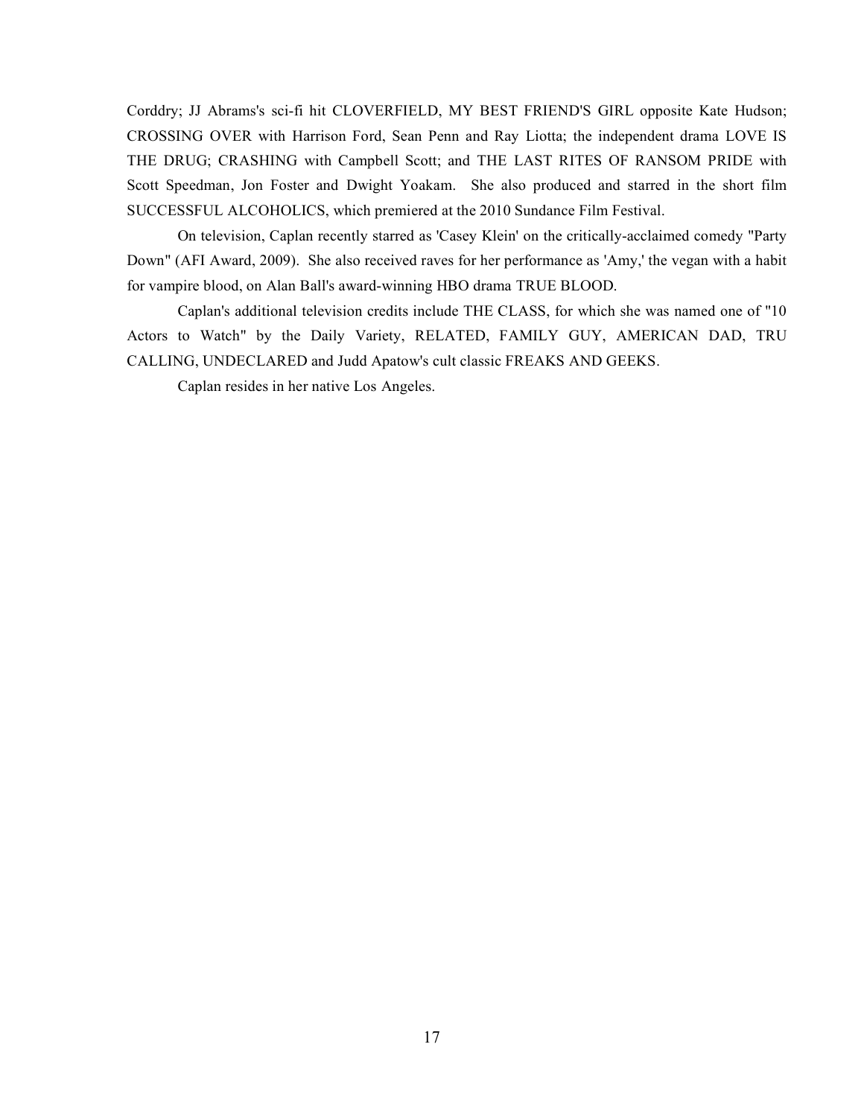Corddry; JJ Abrams's sci-fi hit CLOVERFIELD, MY BEST FRIEND'S GIRL opposite Kate Hudson; CROSSING OVER with Harrison Ford, Sean Penn and Ray Liotta; the independent drama LOVE IS THE DRUG; CRASHING with Campbell Scott; and THE LAST RITES OF RANSOM PRIDE with Scott Speedman, Jon Foster and Dwight Yoakam. She also produced and starred in the short film SUCCESSFUL ALCOHOLICS, which premiered at the 2010 Sundance Film Festival.

On television, Caplan recently starred as 'Casey Klein' on the critically-acclaimed comedy "Party Down" (AFI Award, 2009). She also received raves for her performance as 'Amy,' the vegan with a habit for vampire blood, on Alan Ball's award-winning HBO drama TRUE BLOOD.

Caplan's additional television credits include THE CLASS, for which she was named one of "10 Actors to Watch" by the Daily Variety, RELATED, FAMILY GUY, AMERICAN DAD, TRU CALLING, UNDECLARED and Judd Apatow's cult classic FREAKS AND GEEKS.

Caplan resides in her native Los Angeles.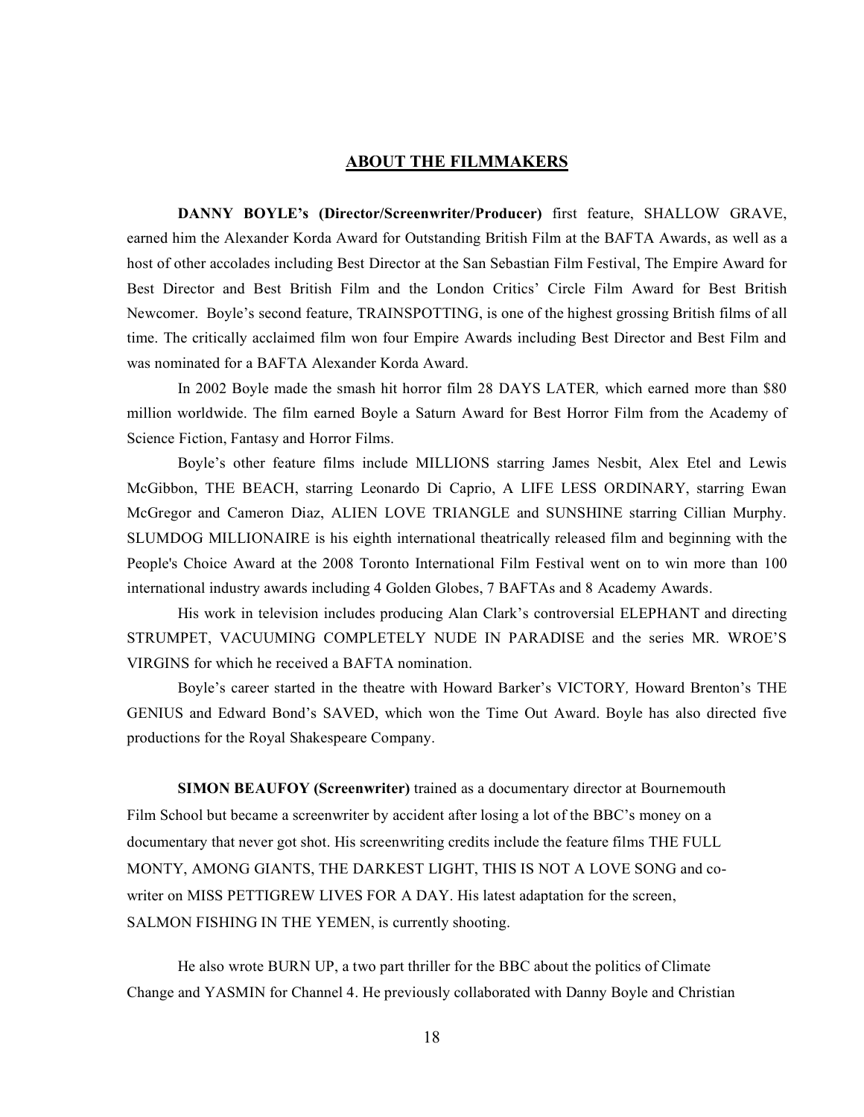## **ABOUT THE FILMMAKERS**

**DANNY BOYLE's (Director/Screenwriter/Producer)** first feature, SHALLOW GRAVE, earned him the Alexander Korda Award for Outstanding British Film at the BAFTA Awards, as well as a host of other accolades including Best Director at the San Sebastian Film Festival, The Empire Award for Best Director and Best British Film and the London Critics' Circle Film Award for Best British Newcomer. Boyle's second feature, TRAINSPOTTING, is one of the highest grossing British films of all time. The critically acclaimed film won four Empire Awards including Best Director and Best Film and was nominated for a BAFTA Alexander Korda Award.

In 2002 Boyle made the smash hit horror film 28 DAYS LATER*,* which earned more than \$80 million worldwide. The film earned Boyle a Saturn Award for Best Horror Film from the Academy of Science Fiction, Fantasy and Horror Films.

Boyle's other feature films include MILLIONS starring James Nesbit, Alex Etel and Lewis McGibbon, THE BEACH, starring Leonardo Di Caprio, A LIFE LESS ORDINARY, starring Ewan McGregor and Cameron Diaz, ALIEN LOVE TRIANGLE and SUNSHINE starring Cillian Murphy. SLUMDOG MILLIONAIRE is his eighth international theatrically released film and beginning with the People's Choice Award at the 2008 Toronto International Film Festival went on to win more than 100 international industry awards including 4 Golden Globes, 7 BAFTAs and 8 Academy Awards.

His work in television includes producing Alan Clark's controversial ELEPHANT and directing STRUMPET, VACUUMING COMPLETELY NUDE IN PARADISE and the series MR. WROE'S VIRGINS for which he received a BAFTA nomination.

Boyle's career started in the theatre with Howard Barker's VICTORY*,* Howard Brenton's THE GENIUS and Edward Bond's SAVED, which won the Time Out Award. Boyle has also directed five productions for the Royal Shakespeare Company.

**SIMON BEAUFOY (Screenwriter)** trained as a documentary director at Bournemouth Film School but became a screenwriter by accident after losing a lot of the BBC's money on a documentary that never got shot. His screenwriting credits include the feature films THE FULL MONTY, AMONG GIANTS, THE DARKEST LIGHT, THIS IS NOT A LOVE SONG and cowriter on MISS PETTIGREW LIVES FOR A DAY. His latest adaptation for the screen, SALMON FISHING IN THE YEMEN, is currently shooting.

He also wrote BURN UP, a two part thriller for the BBC about the politics of Climate Change and YASMIN for Channel 4. He previously collaborated with Danny Boyle and Christian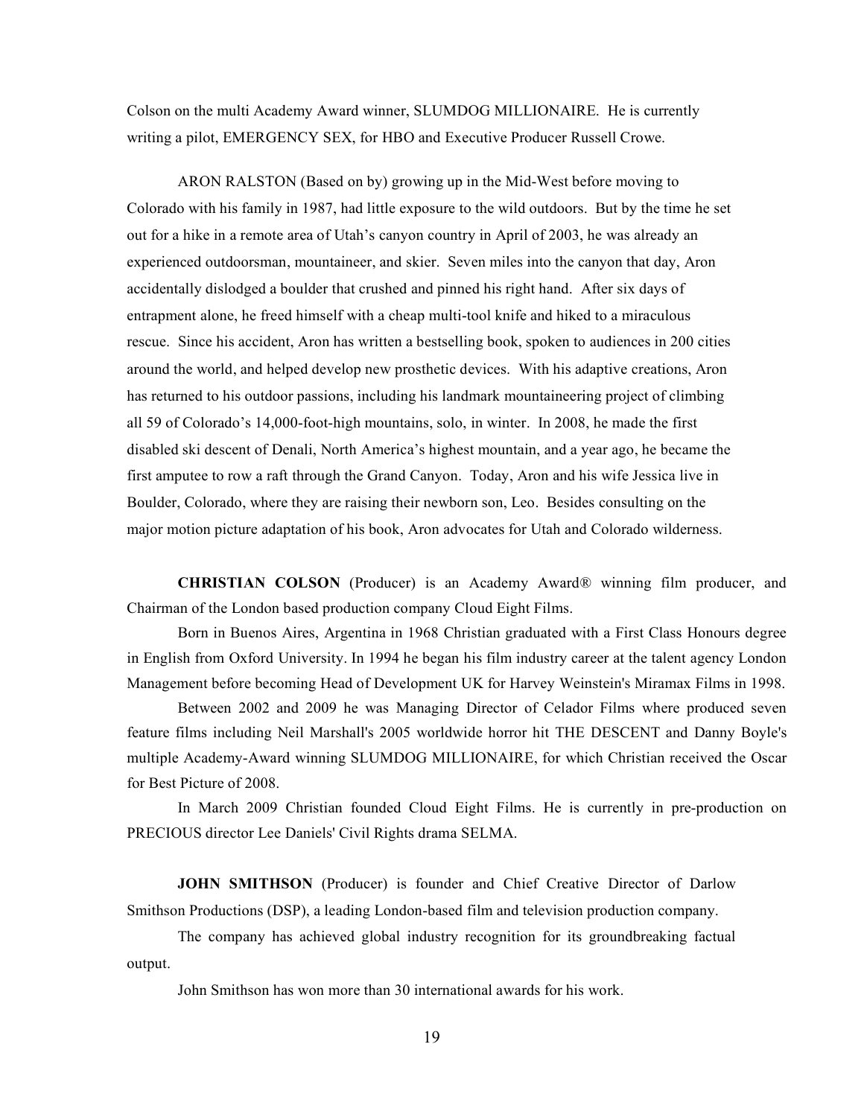Colson on the multi Academy Award winner, SLUMDOG MILLIONAIRE. He is currently writing a pilot, EMERGENCY SEX, for HBO and Executive Producer Russell Crowe.

ARON RALSTON (Based on by) growing up in the Mid-West before moving to Colorado with his family in 1987, had little exposure to the wild outdoors. But by the time he set out for a hike in a remote area of Utah's canyon country in April of 2003, he was already an experienced outdoorsman, mountaineer, and skier. Seven miles into the canyon that day, Aron accidentally dislodged a boulder that crushed and pinned his right hand. After six days of entrapment alone, he freed himself with a cheap multi-tool knife and hiked to a miraculous rescue. Since his accident, Aron has written a bestselling book, spoken to audiences in 200 cities around the world, and helped develop new prosthetic devices. With his adaptive creations, Aron has returned to his outdoor passions, including his landmark mountaineering project of climbing all 59 of Colorado's 14,000-foot-high mountains, solo, in winter. In 2008, he made the first disabled ski descent of Denali, North America's highest mountain, and a year ago, he became the first amputee to row a raft through the Grand Canyon. Today, Aron and his wife Jessica live in Boulder, Colorado, where they are raising their newborn son, Leo. Besides consulting on the major motion picture adaptation of his book, Aron advocates for Utah and Colorado wilderness.

**CHRISTIAN COLSON** (Producer) is an Academy Award® winning film producer, and Chairman of the London based production company Cloud Eight Films.

Born in Buenos Aires, Argentina in 1968 Christian graduated with a First Class Honours degree in English from Oxford University. In 1994 he began his film industry career at the talent agency London Management before becoming Head of Development UK for Harvey Weinstein's Miramax Films in 1998.

Between 2002 and 2009 he was Managing Director of Celador Films where produced seven feature films including Neil Marshall's 2005 worldwide horror hit THE DESCENT and Danny Boyle's multiple Academy-Award winning SLUMDOG MILLIONAIRE, for which Christian received the Oscar for Best Picture of 2008.

In March 2009 Christian founded Cloud Eight Films. He is currently in pre-production on PRECIOUS director Lee Daniels' Civil Rights drama SELMA.

**JOHN SMITHSON** (Producer) is founder and Chief Creative Director of Darlow Smithson Productions (DSP), a leading London-based film and television production company.

The company has achieved global industry recognition for its groundbreaking factual output.

John Smithson has won more than 30 international awards for his work.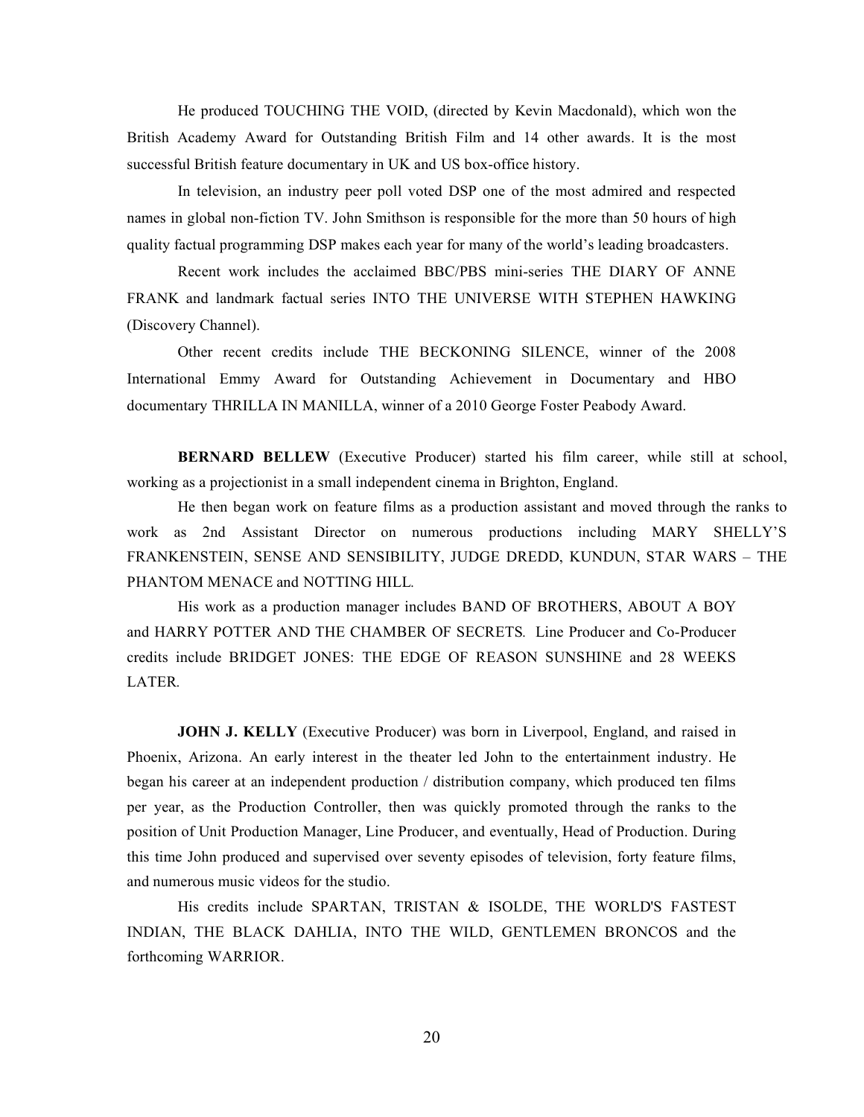He produced TOUCHING THE VOID, (directed by Kevin Macdonald), which won the British Academy Award for Outstanding British Film and 14 other awards. It is the most successful British feature documentary in UK and US box-office history.

In television, an industry peer poll voted DSP one of the most admired and respected names in global non-fiction TV. John Smithson is responsible for the more than 50 hours of high quality factual programming DSP makes each year for many of the world's leading broadcasters.

Recent work includes the acclaimed BBC/PBS mini-series THE DIARY OF ANNE FRANK and landmark factual series INTO THE UNIVERSE WITH STEPHEN HAWKING (Discovery Channel).

Other recent credits include THE BECKONING SILENCE, winner of the 2008 International Emmy Award for Outstanding Achievement in Documentary and HBO documentary THRILLA IN MANILLA, winner of a 2010 George Foster Peabody Award.

**BERNARD BELLEW** (Executive Producer) started his film career, while still at school, working as a projectionist in a small independent cinema in Brighton, England.

He then began work on feature films as a production assistant and moved through the ranks to work as 2nd Assistant Director on numerous productions including MARY SHELLY'S FRANKENSTEIN, SENSE AND SENSIBILITY, JUDGE DREDD, KUNDUN, STAR WARS – THE PHANTOM MENACE and NOTTING HILL*.*

His work as a production manager includes BAND OF BROTHERS, ABOUT A BOY and HARRY POTTER AND THE CHAMBER OF SECRETS*.* Line Producer and Co-Producer credits include BRIDGET JONES: THE EDGE OF REASON SUNSHINE and 28 WEEKS LATER*.*

**JOHN J. KELLY** (Executive Producer) was born in Liverpool, England, and raised in Phoenix, Arizona. An early interest in the theater led John to the entertainment industry. He began his career at an independent production / distribution company, which produced ten films per year, as the Production Controller, then was quickly promoted through the ranks to the position of Unit Production Manager, Line Producer, and eventually, Head of Production. During this time John produced and supervised over seventy episodes of television, forty feature films, and numerous music videos for the studio.

His credits include SPARTAN, TRISTAN & ISOLDE, THE WORLD'S FASTEST INDIAN, THE BLACK DAHLIA, INTO THE WILD, GENTLEMEN BRONCOS and the forthcoming WARRIOR.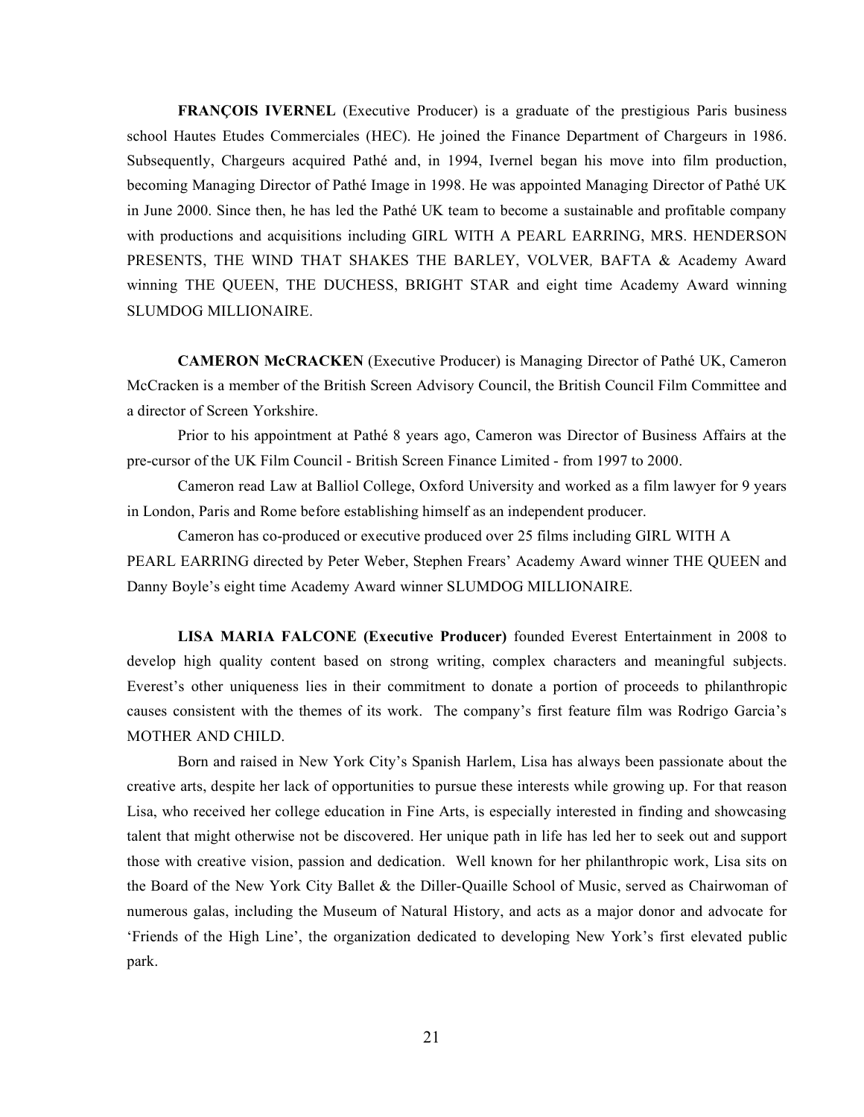**FRANÇOIS IVERNEL** (Executive Producer) is a graduate of the prestigious Paris business school Hautes Etudes Commerciales (HEC). He joined the Finance Department of Chargeurs in 1986. Subsequently, Chargeurs acquired Pathé and, in 1994, Ivernel began his move into film production, becoming Managing Director of Pathé Image in 1998. He was appointed Managing Director of Pathé UK in June 2000. Since then, he has led the Pathé UK team to become a sustainable and profitable company with productions and acquisitions including GIRL WITH A PEARL EARRING, MRS. HENDERSON PRESENTS, THE WIND THAT SHAKES THE BARLEY, VOLVER*,* BAFTA & Academy Award winning THE QUEEN, THE DUCHESS, BRIGHT STAR and eight time Academy Award winning SLUMDOG MILLIONAIRE.

**CAMERON McCRACKEN** (Executive Producer) is Managing Director of Pathé UK, Cameron McCracken is a member of the British Screen Advisory Council, the British Council Film Committee and a director of Screen Yorkshire.

Prior to his appointment at Pathé 8 years ago, Cameron was Director of Business Affairs at the pre-cursor of the UK Film Council - British Screen Finance Limited - from 1997 to 2000.

Cameron read Law at Balliol College, Oxford University and worked as a film lawyer for 9 years in London, Paris and Rome before establishing himself as an independent producer.

Cameron has co-produced or executive produced over 25 films including GIRL WITH A PEARL EARRING directed by Peter Weber, Stephen Frears' Academy Award winner THE QUEEN and Danny Boyle's eight time Academy Award winner SLUMDOG MILLIONAIRE.

**LISA MARIA FALCONE (Executive Producer)** founded Everest Entertainment in 2008 to develop high quality content based on strong writing, complex characters and meaningful subjects. Everest's other uniqueness lies in their commitment to donate a portion of proceeds to philanthropic causes consistent with the themes of its work. The company's first feature film was Rodrigo Garcia's MOTHER AND CHILD.

Born and raised in New York City's Spanish Harlem, Lisa has always been passionate about the creative arts, despite her lack of opportunities to pursue these interests while growing up. For that reason Lisa, who received her college education in Fine Arts, is especially interested in finding and showcasing talent that might otherwise not be discovered. Her unique path in life has led her to seek out and support those with creative vision, passion and dedication. Well known for her philanthropic work, Lisa sits on the Board of the New York City Ballet & the Diller-Quaille School of Music, served as Chairwoman of numerous galas, including the Museum of Natural History, and acts as a major donor and advocate for 'Friends of the High Line', the organization dedicated to developing New York's first elevated public park.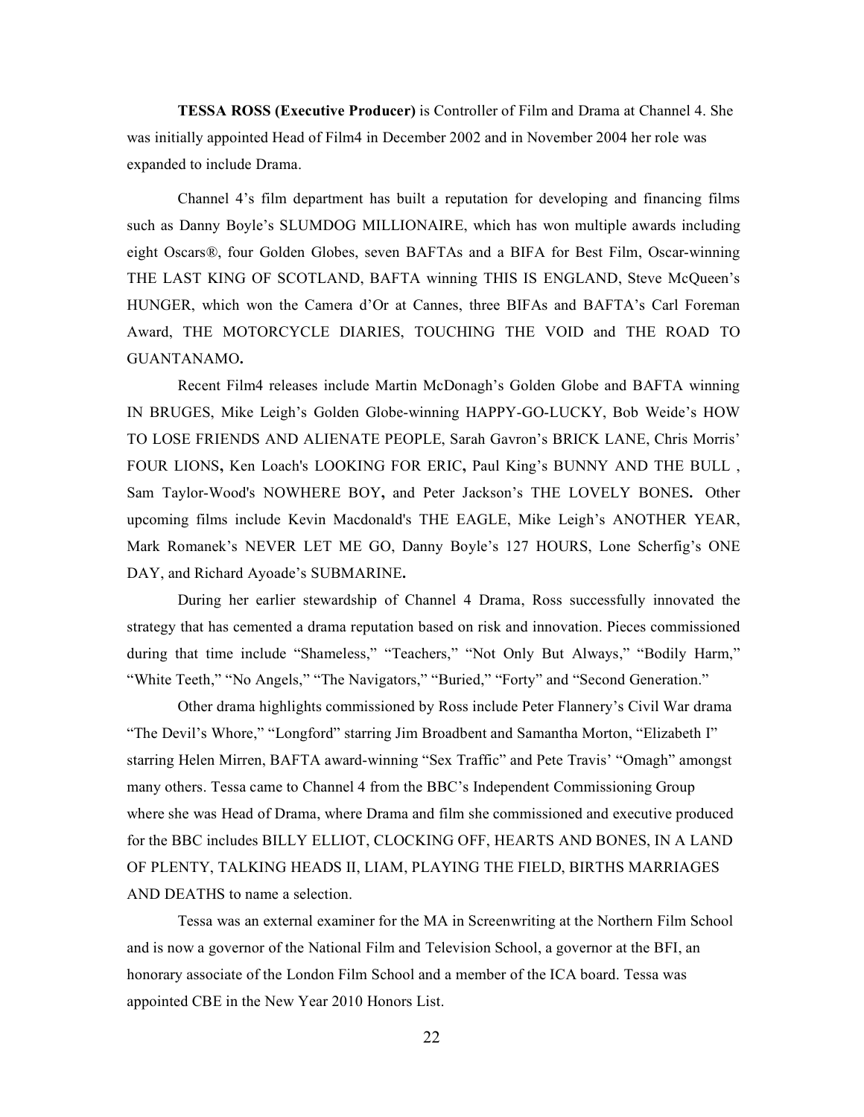**TESSA ROSS (Executive Producer)** is Controller of Film and Drama at Channel 4. She was initially appointed Head of Film4 in December 2002 and in November 2004 her role was expanded to include Drama.

Channel 4's film department has built a reputation for developing and financing films such as Danny Boyle's SLUMDOG MILLIONAIRE, which has won multiple awards including eight Oscars®, four Golden Globes, seven BAFTAs and a BIFA for Best Film, Oscar-winning THE LAST KING OF SCOTLAND, BAFTA winning THIS IS ENGLAND, Steve McQueen's HUNGER, which won the Camera d'Or at Cannes, three BIFAs and BAFTA's Carl Foreman Award, THE MOTORCYCLE DIARIES, TOUCHING THE VOID and THE ROAD TO GUANTANAMO**.**

Recent Film4 releases include Martin McDonagh's Golden Globe and BAFTA winning IN BRUGES, Mike Leigh's Golden Globe-winning HAPPY-GO-LUCKY, Bob Weide's HOW TO LOSE FRIENDS AND ALIENATE PEOPLE, Sarah Gavron's BRICK LANE, Chris Morris' FOUR LIONS**,** Ken Loach's LOOKING FOR ERIC**,** Paul King's BUNNY AND THE BULL , Sam Taylor-Wood's NOWHERE BOY**,** and Peter Jackson's THE LOVELY BONES**.** Other upcoming films include Kevin Macdonald's THE EAGLE, Mike Leigh's ANOTHER YEAR, Mark Romanek's NEVER LET ME GO, Danny Boyle's 127 HOURS, Lone Scherfig's ONE DAY, and Richard Ayoade's SUBMARINE**.**

During her earlier stewardship of Channel 4 Drama, Ross successfully innovated the strategy that has cemented a drama reputation based on risk and innovation. Pieces commissioned during that time include "Shameless," "Teachers," "Not Only But Always," "Bodily Harm," "White Teeth," "No Angels," "The Navigators," "Buried," "Forty" and "Second Generation."

Other drama highlights commissioned by Ross include Peter Flannery's Civil War drama "The Devil's Whore," "Longford" starring Jim Broadbent and Samantha Morton, "Elizabeth I" starring Helen Mirren, BAFTA award-winning "Sex Traffic" and Pete Travis' "Omagh" amongst many others. Tessa came to Channel 4 from the BBC's Independent Commissioning Group where she was Head of Drama, where Drama and film she commissioned and executive produced for the BBC includes BILLY ELLIOT, CLOCKING OFF, HEARTS AND BONES, IN A LAND OF PLENTY, TALKING HEADS II, LIAM, PLAYING THE FIELD, BIRTHS MARRIAGES AND DEATHS to name a selection.

Tessa was an external examiner for the MA in Screenwriting at the Northern Film School and is now a governor of the National Film and Television School, a governor at the BFI, an honorary associate of the London Film School and a member of the ICA board. Tessa was appointed CBE in the New Year 2010 Honors List.

22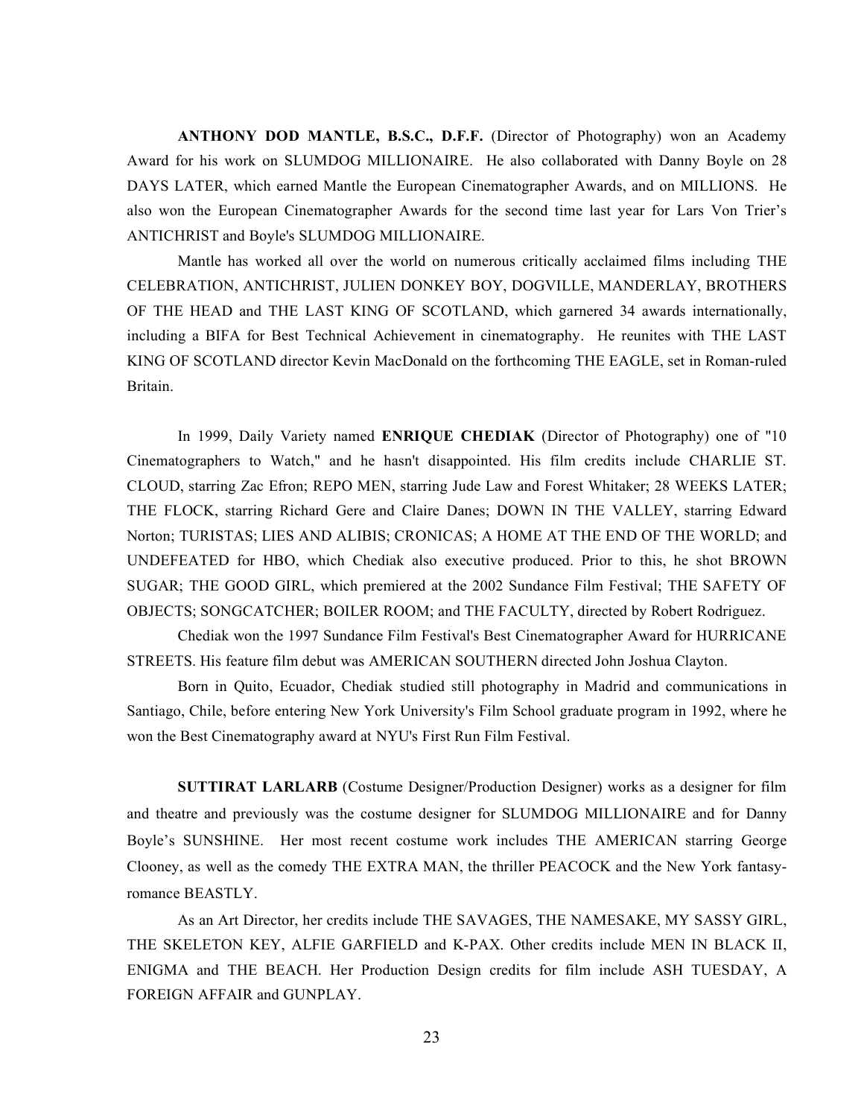**ANTHONY DOD MANTLE, B.S.C., D.F.F.** (Director of Photography) won an Academy Award for his work on SLUMDOG MILLIONAIRE. He also collaborated with Danny Boyle on 28 DAYS LATER, which earned Mantle the European Cinematographer Awards, and on MILLIONS. He also won the European Cinematographer Awards for the second time last year for Lars Von Trier's ANTICHRIST and Boyle's SLUMDOG MILLIONAIRE.

Mantle has worked all over the world on numerous critically acclaimed films including THE CELEBRATION, ANTICHRIST, JULIEN DONKEY BOY, DOGVILLE, MANDERLAY, BROTHERS OF THE HEAD and THE LAST KING OF SCOTLAND, which garnered 34 awards internationally, including a BIFA for Best Technical Achievement in cinematography. He reunites with THE LAST KING OF SCOTLAND director Kevin MacDonald on the forthcoming THE EAGLE, set in Roman-ruled Britain.

In 1999, Daily Variety named **ENRIQUE CHEDIAK** (Director of Photography) one of "10 Cinematographers to Watch," and he hasn't disappointed. His film credits include CHARLIE ST. CLOUD, starring Zac Efron; REPO MEN, starring Jude Law and Forest Whitaker; 28 WEEKS LATER; THE FLOCK, starring Richard Gere and Claire Danes; DOWN IN THE VALLEY, starring Edward Norton; TURISTAS; LIES AND ALIBIS; CRONICAS; A HOME AT THE END OF THE WORLD; and UNDEFEATED for HBO, which Chediak also executive produced. Prior to this, he shot BROWN SUGAR; THE GOOD GIRL, which premiered at the 2002 Sundance Film Festival; THE SAFETY OF OBJECTS; SONGCATCHER; BOILER ROOM; and THE FACULTY, directed by Robert Rodriguez.

Chediak won the 1997 Sundance Film Festival's Best Cinematographer Award for HURRICANE STREETS. His feature film debut was AMERICAN SOUTHERN directed John Joshua Clayton.

Born in Quito, Ecuador, Chediak studied still photography in Madrid and communications in Santiago, Chile, before entering New York University's Film School graduate program in 1992, where he won the Best Cinematography award at NYU's First Run Film Festival.

**SUTTIRAT LARLARB** (Costume Designer/Production Designer) works as a designer for film and theatre and previously was the costume designer for SLUMDOG MILLIONAIRE and for Danny Boyle's SUNSHINE. Her most recent costume work includes THE AMERICAN starring George Clooney, as well as the comedy THE EXTRA MAN, the thriller PEACOCK and the New York fantasyromance BEASTLY.

As an Art Director, her credits include THE SAVAGES, THE NAMESAKE, MY SASSY GIRL, THE SKELETON KEY, ALFIE GARFIELD and K-PAX. Other credits include MEN IN BLACK II, ENIGMA and THE BEACH. Her Production Design credits for film include ASH TUESDAY, A FOREIGN AFFAIR and GUNPLAY.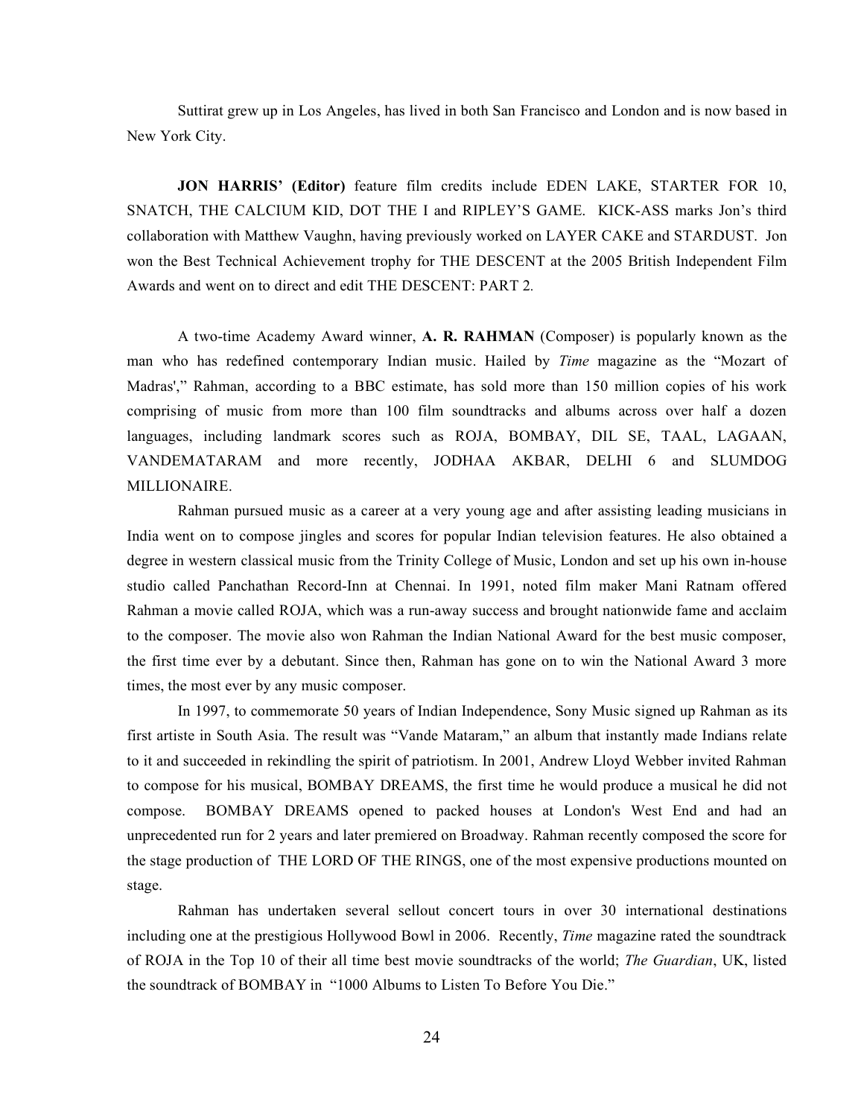Suttirat grew up in Los Angeles, has lived in both San Francisco and London and is now based in New York City.

**JON HARRIS' (Editor)** feature film credits include EDEN LAKE, STARTER FOR 10, SNATCH, THE CALCIUM KID, DOT THE I and RIPLEY'S GAME. KICK-ASS marks Jon's third collaboration with Matthew Vaughn, having previously worked on LAYER CAKE and STARDUST. Jon won the Best Technical Achievement trophy for THE DESCENT at the 2005 British Independent Film Awards and went on to direct and edit THE DESCENT: PART 2*.*

A two-time Academy Award winner, **A. R. RAHMAN** (Composer) is popularly known as the man who has redefined contemporary Indian music. Hailed by *Time* magazine as the "Mozart of Madras'," Rahman, according to a BBC estimate, has sold more than 150 million copies of his work comprising of music from more than 100 film soundtracks and albums across over half a dozen languages, including landmark scores such as ROJA, BOMBAY, DIL SE, TAAL, LAGAAN, VANDEMATARAM and more recently, JODHAA AKBAR, DELHI 6 and SLUMDOG MILLIONAIRE.

Rahman pursued music as a career at a very young age and after assisting leading musicians in India went on to compose jingles and scores for popular Indian television features. He also obtained a degree in western classical music from the Trinity College of Music, London and set up his own in-house studio called Panchathan Record-Inn at Chennai. In 1991, noted film maker Mani Ratnam offered Rahman a movie called ROJA, which was a run-away success and brought nationwide fame and acclaim to the composer. The movie also won Rahman the Indian National Award for the best music composer, the first time ever by a debutant. Since then, Rahman has gone on to win the National Award 3 more times, the most ever by any music composer.

In 1997, to commemorate 50 years of Indian Independence, Sony Music signed up Rahman as its first artiste in South Asia. The result was "Vande Mataram," an album that instantly made Indians relate to it and succeeded in rekindling the spirit of patriotism. In 2001, Andrew Lloyd Webber invited Rahman to compose for his musical, BOMBAY DREAMS, the first time he would produce a musical he did not compose. BOMBAY DREAMS opened to packed houses at London's West End and had an unprecedented run for 2 years and later premiered on Broadway. Rahman recently composed the score for the stage production of THE LORD OF THE RINGS, one of the most expensive productions mounted on stage.

Rahman has undertaken several sellout concert tours in over 30 international destinations including one at the prestigious Hollywood Bowl in 2006. Recently, *Time* magazine rated the soundtrack of ROJA in the Top 10 of their all time best movie soundtracks of the world; *The Guardian*, UK, listed the soundtrack of BOMBAY in "1000 Albums to Listen To Before You Die."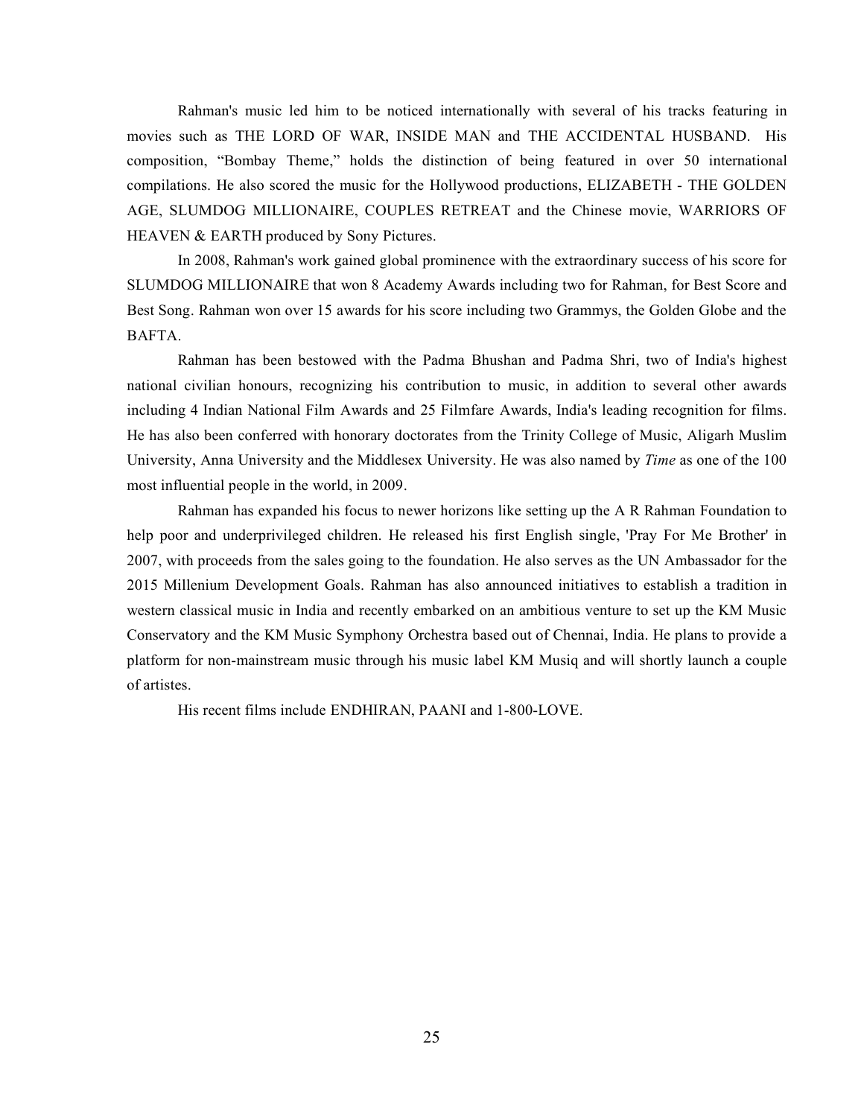Rahman's music led him to be noticed internationally with several of his tracks featuring in movies such as THE LORD OF WAR, INSIDE MAN and THE ACCIDENTAL HUSBAND. His composition, "Bombay Theme," holds the distinction of being featured in over 50 international compilations. He also scored the music for the Hollywood productions, ELIZABETH - THE GOLDEN AGE, SLUMDOG MILLIONAIRE, COUPLES RETREAT and the Chinese movie, WARRIORS OF HEAVEN & EARTH produced by Sony Pictures.

In 2008, Rahman's work gained global prominence with the extraordinary success of his score for SLUMDOG MILLIONAIRE that won 8 Academy Awards including two for Rahman, for Best Score and Best Song. Rahman won over 15 awards for his score including two Grammys, the Golden Globe and the BAFTA.

Rahman has been bestowed with the Padma Bhushan and Padma Shri, two of India's highest national civilian honours, recognizing his contribution to music, in addition to several other awards including 4 Indian National Film Awards and 25 Filmfare Awards, India's leading recognition for films. He has also been conferred with honorary doctorates from the Trinity College of Music, Aligarh Muslim University, Anna University and the Middlesex University. He was also named by *Time* as one of the 100 most influential people in the world, in 2009.

Rahman has expanded his focus to newer horizons like setting up the A R Rahman Foundation to help poor and underprivileged children. He released his first English single, 'Pray For Me Brother' in 2007, with proceeds from the sales going to the foundation. He also serves as the UN Ambassador for the 2015 Millenium Development Goals. Rahman has also announced initiatives to establish a tradition in western classical music in India and recently embarked on an ambitious venture to set up the KM Music Conservatory and the KM Music Symphony Orchestra based out of Chennai, India. He plans to provide a platform for non-mainstream music through his music label KM Musiq and will shortly launch a couple of artistes.

His recent films include ENDHIRAN, PAANI and 1-800-LOVE.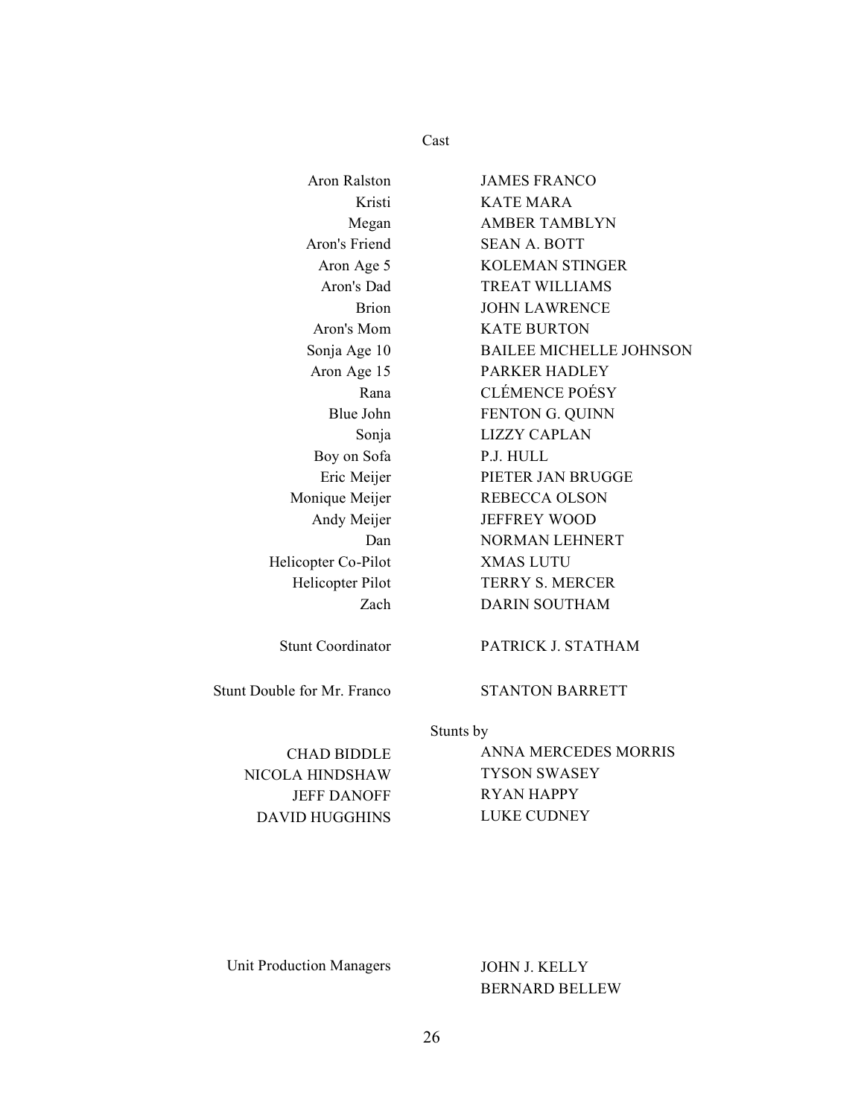Cast

| <b>Aron Ralston</b>         | <b>JAMES FRANCO</b>            |
|-----------------------------|--------------------------------|
| Kristi                      | <b>KATE MARA</b>               |
| Megan                       | <b>AMBER TAMBLYN</b>           |
| Aron's Friend               | <b>SEAN A. BOTT</b>            |
| Aron Age 5                  | <b>KOLEMAN STINGER</b>         |
| Aron's Dad                  | <b>TREAT WILLIAMS</b>          |
| <b>Brion</b>                | <b>JOHN LAWRENCE</b>           |
| Aron's Mom                  | <b>KATE BURTON</b>             |
| Sonja Age 10                | <b>BAILEE MICHELLE JOHNSON</b> |
| Aron Age 15                 | <b>PARKER HADLEY</b>           |
| Rana                        | <b>CLÉMENCE POÉSY</b>          |
| Blue John                   | FENTON G. QUINN                |
| Sonja                       | <b>LIZZY CAPLAN</b>            |
| Boy on Sofa                 | P.J. HULL                      |
| Eric Meijer                 | PIETER JAN BRUGGE              |
| Monique Meijer              | <b>REBECCA OLSON</b>           |
| Andy Meijer                 | <b>JEFFREY WOOD</b>            |
| Dan                         | <b>NORMAN LEHNERT</b>          |
| Helicopter Co-Pilot         | <b>XMAS LUTU</b>               |
| Helicopter Pilot            | <b>TERRY S. MERCER</b>         |
| Zach                        | <b>DARIN SOUTHAM</b>           |
| <b>Stunt Coordinator</b>    | PATRICK J. STATHAM             |
| Stunt Double for Mr. Franco | <b>STANTON BARRETT</b>         |
|                             |                                |

NICOLA HINDSHAW TYSON SWASEY DAVID HUGGHINS LUKE CUDNEY

Stunts by

CHAD BIDDLE ANNA MERCEDES MORRIS JEFF DANOFF RYAN HAPPY

Unit Production Managers JOHN J. KELLY

BERNARD BELLEW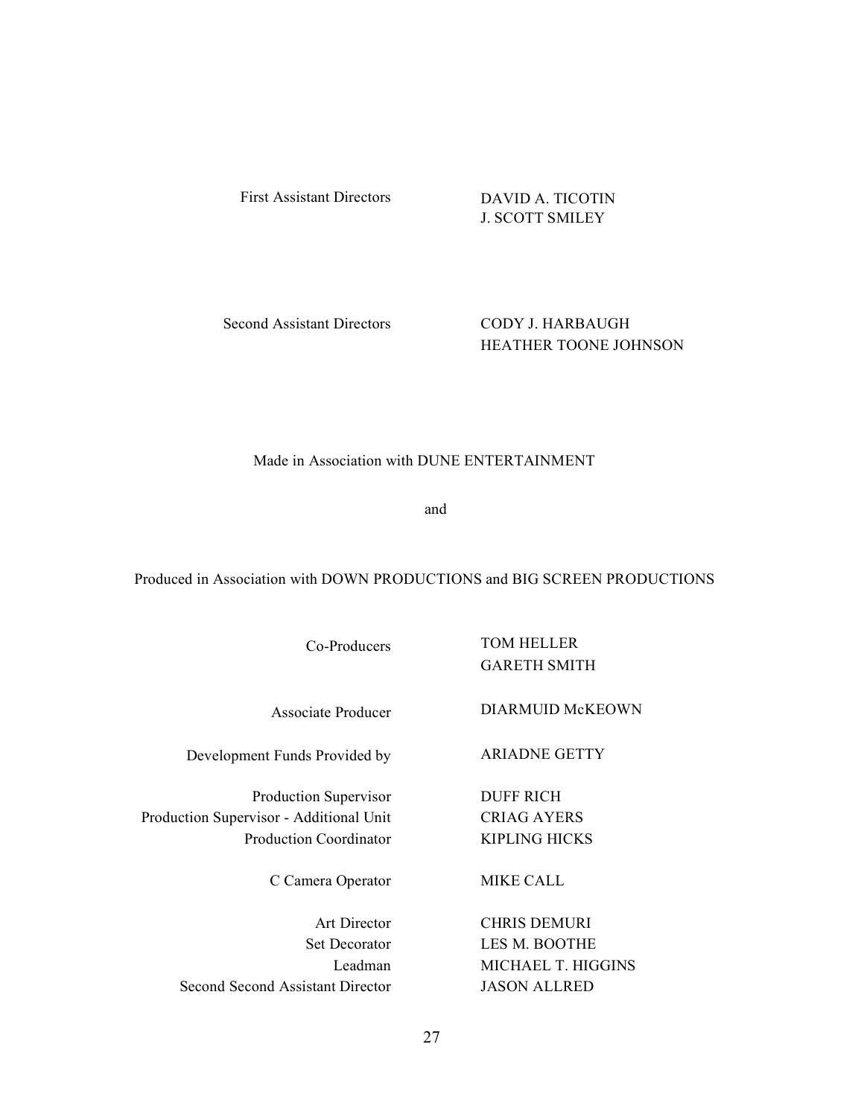First Assistant Directors DAVID A. TICOTIN

J. SCOTT SMILEY

Second Assistant Directors CODY J. HARBAUGH

HEATHER TOONE JOHNSON

Made in Association with DUNE ENTERTAINMENT

and

Produced in Association with DOWN PRODUCTIONS and BIG SCREEN PRODUCTIONS

Development Funds Provided by ARIADNE GETTY

Production Supervisor DUFF RICH Production Supervisor - Additional Unit CRIAG AYERS Production Coordinator KIPLING HICKS

C Camera Operator MIKE CALL

Second Second Assistant Director JASON ALLRED

Co-Producers TOM HELLER GARETH SMITH

Associate Producer DIARMUID McKEOWN

Art Director CHRIS DEMURI Set Decorator LES M. BOOTHE Leadman MICHAEL T. HIGGINS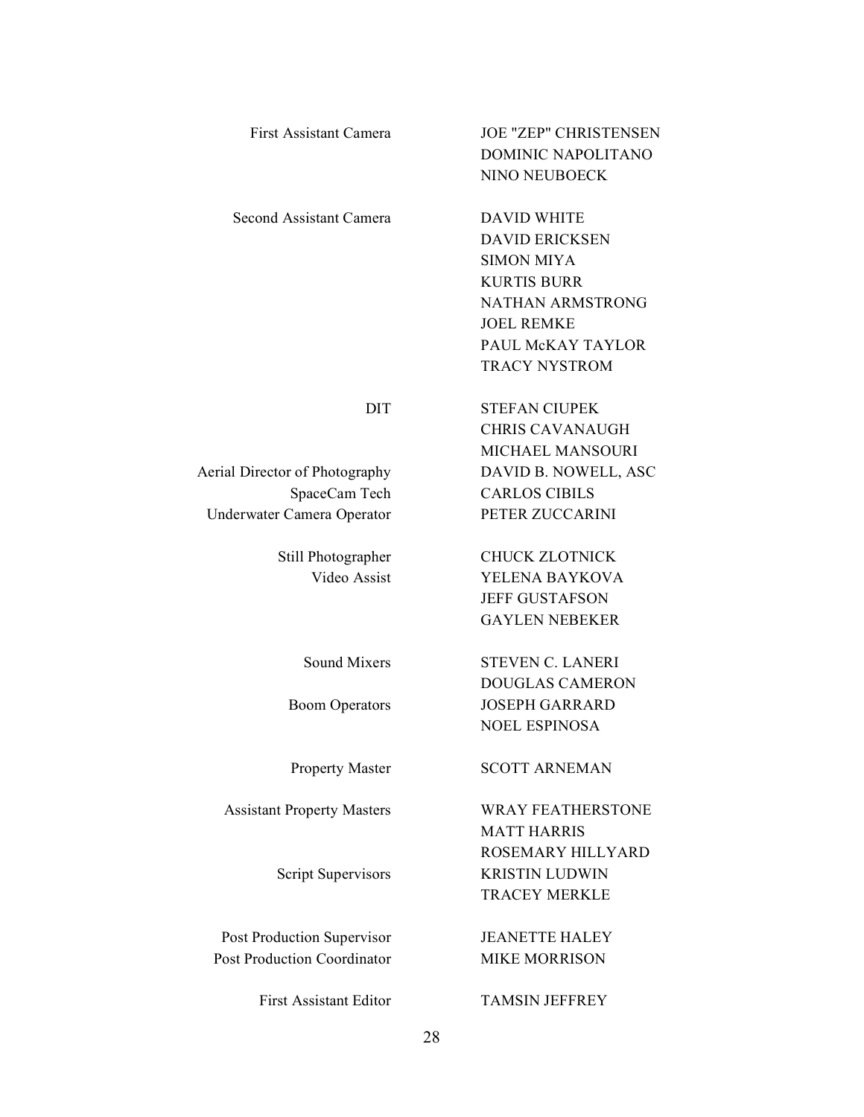| <b>First Assistant Camera</b>               | <b>JOE "ZEP" CHRISTENSEN</b><br>DOMINIC NAPOLITANO<br>NINO NEUBOECK |
|---------------------------------------------|---------------------------------------------------------------------|
| Second Assistant Camera                     | <b>DAVID WHITE</b><br><b>DAVID ERICKSEN</b><br><b>SIMON MIYA</b>    |
|                                             | <b>KURTIS BURR</b><br><b>NATHAN ARMSTRONG</b><br><b>JOEL REMKE</b>  |
|                                             | PAUL McKAY TAYLOR<br><b>TRACY NYSTROM</b>                           |
| <b>DIT</b>                                  | <b>STEFAN CIUPEK</b>                                                |
|                                             | <b>CHRIS CAVANAUGH</b>                                              |
|                                             | <b>MICHAEL MANSOURI</b>                                             |
| Aerial Director of Photography              | DAVID B. NOWELL, ASC<br><b>CARLOS CIBILS</b>                        |
| SpaceCam Tech<br>Underwater Camera Operator | PETER ZUCCARINI                                                     |
|                                             |                                                                     |
| Still Photographer                          | <b>CHUCK ZLOTNICK</b>                                               |
| Video Assist                                | YELENA BAYKOVA                                                      |
|                                             | <b>JEFF GUSTAFSON</b>                                               |
|                                             | <b>GAYLEN NEBEKER</b>                                               |
| <b>Sound Mixers</b>                         | <b>STEVEN C. LANERI</b>                                             |
|                                             | <b>DOUGLAS CAMERON</b>                                              |
| <b>Boom Operators</b>                       | <b>JOSEPH GARRARD</b>                                               |
|                                             | <b>NOEL ESPINOSA</b>                                                |
| <b>Property Master</b>                      | <b>SCOTT ARNEMAN</b>                                                |
| <b>Assistant Property Masters</b>           | <b>WRAY FEATHERSTONE</b>                                            |
|                                             | <b>MATT HARRIS</b>                                                  |
|                                             | ROSEMARY HILLYARD                                                   |
| Script Supervisors                          | <b>KRISTIN LUDWIN</b>                                               |
|                                             | <b>TRACEY MERKLE</b>                                                |
| Post Production Supervisor                  | <b>JEANETTE HALEY</b>                                               |
| <b>Post Production Coordinator</b>          | <b>MIKE MORRISON</b>                                                |
| <b>First Assistant Editor</b>               | <b>TAMSIN JEFFREY</b>                                               |
|                                             | 28                                                                  |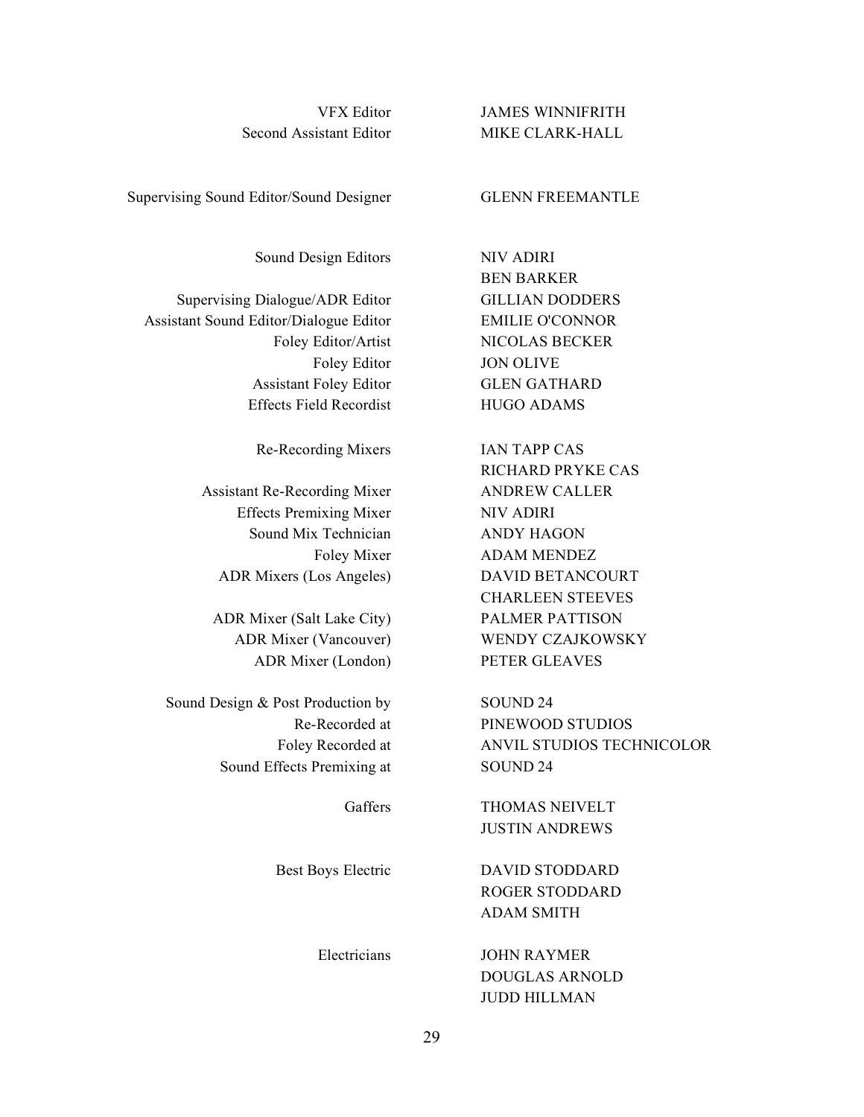Second Assistant Editor MIKE CLARK-HALL

VFX Editor JAMES WINNIFRITH

BEN BARKER

RICHARD PRYKE CAS

CHARLEEN STEEVES

Supervising Sound Editor/Sound Designer **GLENN FREEMANTLE** 

Sound Design Editors NIV ADIRI

Supervising Dialogue/ADR Editor GILLIAN DODDERS Assistant Sound Editor/Dialogue Editor EMILIE O'CONNOR Foley Editor/Artist NICOLAS BECKER Foley Editor **JON OLIVE** Assistant Foley Editor GLEN GATHARD Effects Field Recordist HUGO ADAMS

Re-Recording Mixers IAN TAPP CAS

Assistant Re-Recording Mixer ANDREW CALLER Effects Premixing Mixer NIV ADIRI Sound Mix Technician ANDY HAGON Foley Mixer **ADAM MENDEZ** ADR Mixers (Los Angeles) DAVID BETANCOURT

ADR Mixer (Salt Lake City) PALMER PATTISON ADR Mixer (Vancouver) WENDY CZAJKOWSKY ADR Mixer (London) PETER GLEAVES

Sound Design & Post Production by SOUND 24 Re-Recorded at PINEWOOD STUDIOS Foley Recorded at **ANVIL STUDIOS TECHNICOLOR** Sound Effects Premixing at SOUND 24

Gaffers THOMAS NEIVELT JUSTIN ANDREWS

Best Boys Electric DAVID STODDARD ROGER STODDARD ADAM SMITH

> Electricians JOHN RAYMER DOUGLAS ARNOLD JUDD HILLMAN

> > 29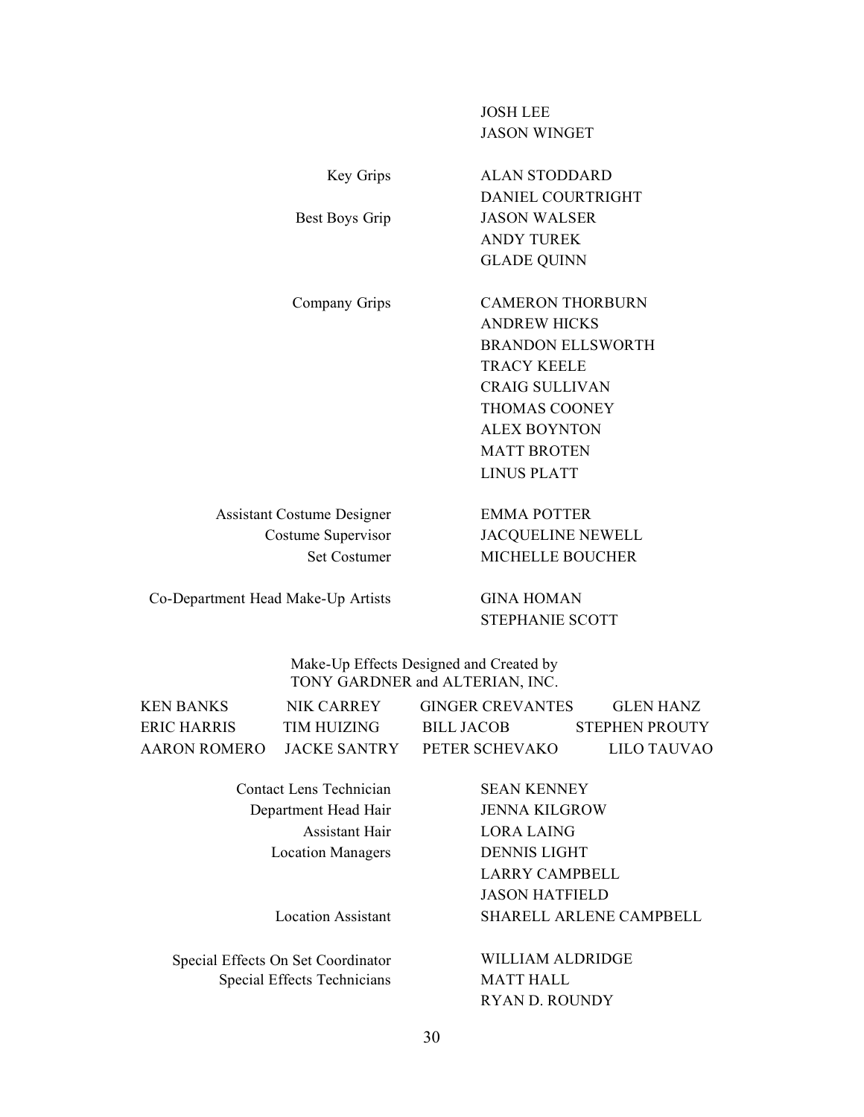## JOSH LEE JASON WINGET

ANDY TUREK GLADE QUINN

Key Grips ALAN STODDARD

Best Boys Grip JASON WALSER

Company Grips CAMERON THORBURN ANDREW HICKS BRANDON ELLSWORTH TRACY KEELE CRAIG SULLIVAN THOMAS COONEY ALEX BOYNTON MATT BROTEN LINUS PLATT

DANIEL COURTRIGHT

Assistant Costume Designer EMMA POTTER Costume Supervisor JACQUELINE NEWELL Set Costumer MICHELLE BOUCHER

Co-Department Head Make-Up Artists GINA HOMAN

STEPHANIE SCOTT

Make-Up Effects Designed and Created by TONY GARDNER and ALTERIAN, INC.

| KEN BANKS    | NIK CARREY           | <b>GINGER CREVANTES</b> | GLEN HANZ             |
|--------------|----------------------|-------------------------|-----------------------|
| ERIC HARRIS  | TIM HUIZING          | BILL JACOB              | <b>STEPHEN PROUTY</b> |
| AARON ROMERO | <b>LIACKE SANTRY</b> | PETER SCHEVAKO          | LILO TAUVAO           |

**Contact Lens Technician SEAN KENNEY** Department Head Hair **JENNA KILGROW** 

Special Effects On Set Coordinator WILLIAM ALDRIDGE Special Effects Technicians MATT HALL

Assistant Hair LORA LAING Location Managers DENNIS LIGHT LARRY CAMPBELL JASON HATFIELD Location Assistant SHARELL ARLENE CAMPBELL

RYAN D. ROUNDY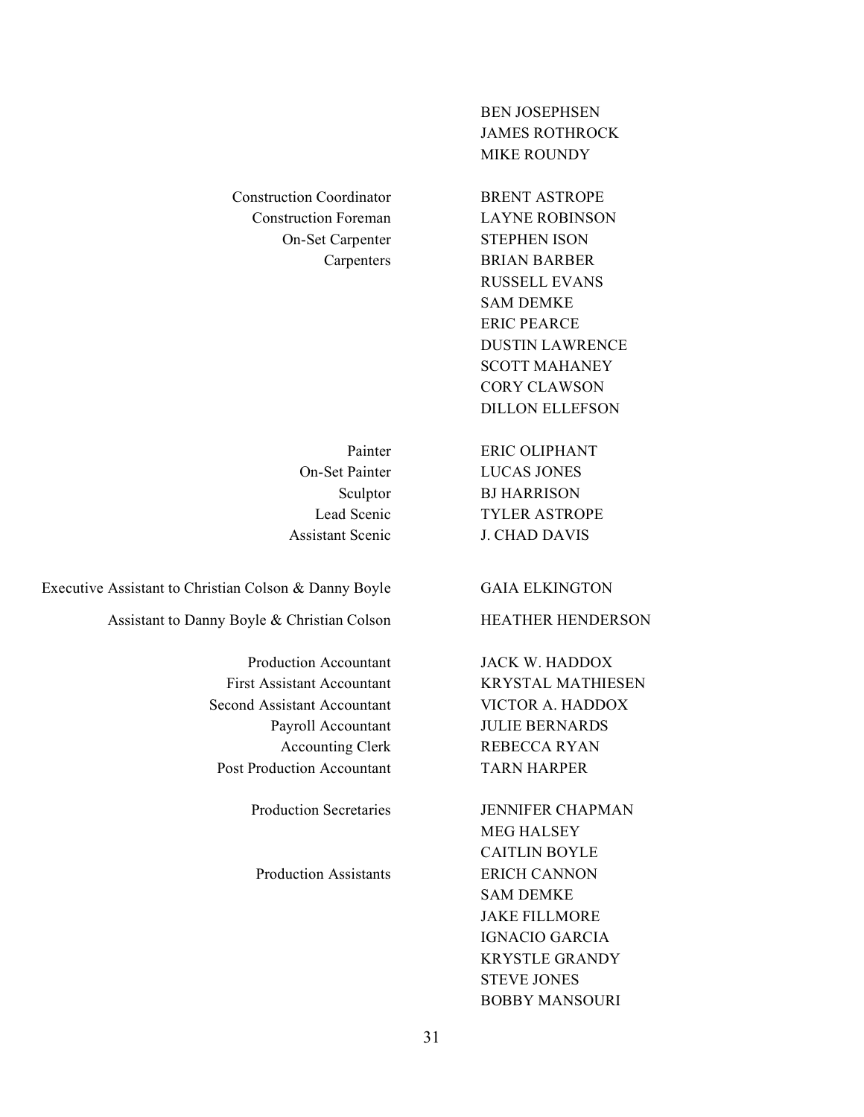Construction Coordinator BRENT ASTROPE Construction Foreman LAYNE ROBINSON

BEN JOSEPHSEN JAMES ROTHROCK MIKE ROUNDY

On-Set Carpenter STEPHEN ISON Carpenters BRIAN BARBER RUSSELL EVANS SAM DEMKE ERIC PEARCE DUSTIN LAWRENCE SCOTT MAHANEY CORY CLAWSON DILLON ELLEFSON

Painter ERIC OLIPHANT On-Set Painter LUCAS JONES Sculptor BJ HARRISON Lead Scenic TYLER ASTROPE Assistant Scenic J. CHAD DAVIS

Executive Assistant to Christian Colson & Danny Boyle GAIA ELKINGTON

Assistant to Danny Boyle & Christian Colson HEATHER HENDERSON

First Assistant Accountant KRYSTAL MATHIESEN Second Assistant Accountant VICTOR A. HADDOX Post Production Accountant TARN HARPER

Production Assistants ERICH CANNON

Production Accountant JACK W. HADDOX Payroll Accountant JULIE BERNARDS Accounting Clerk REBECCA RYAN

Production Secretaries JENNIFER CHAPMAN MEG HALSEY CAITLIN BOYLE SAM DEMKE JAKE FILLMORE IGNACIO GARCIA KRYSTLE GRANDY STEVE JONES BOBBY MANSOURI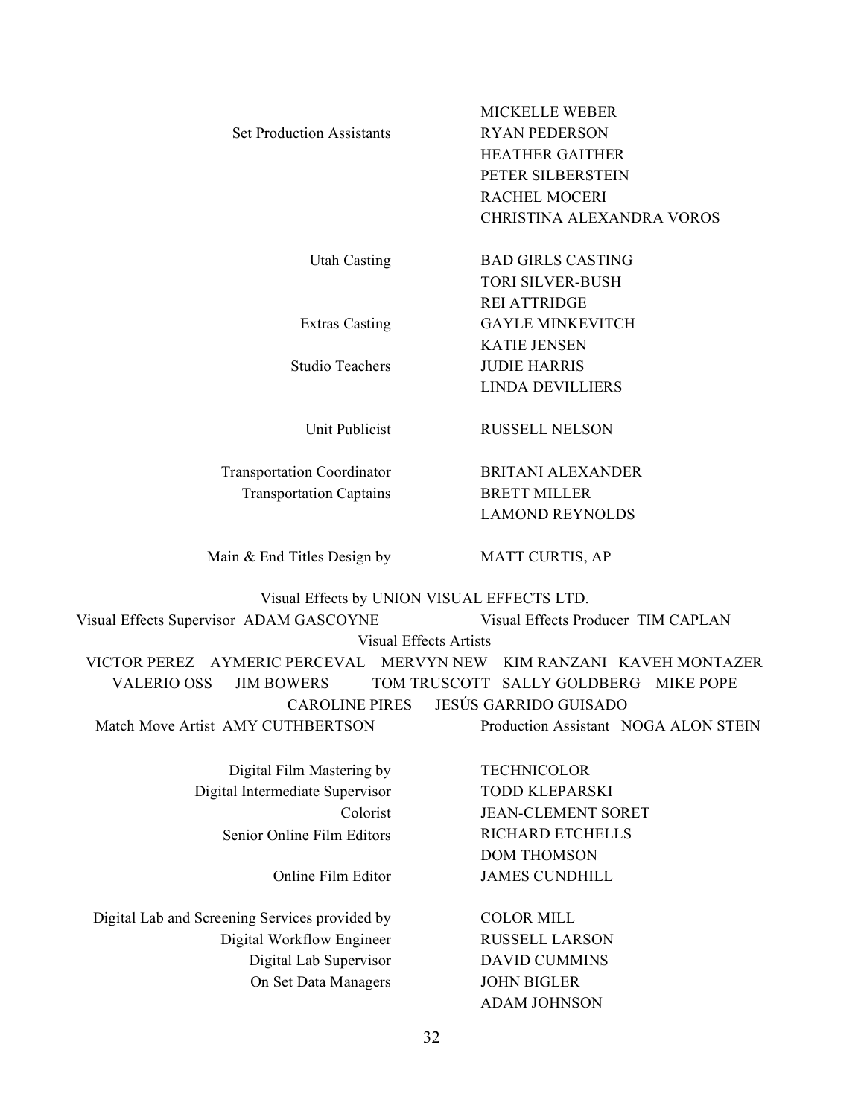|                                  | MICKELLE WEBER            |
|----------------------------------|---------------------------|
| <b>Set Production Assistants</b> | <b>RYAN PEDERSON</b>      |
|                                  | <b>HEATHER GAITHER</b>    |
|                                  | PETER SILBERSTEIN         |
|                                  | RACHEL MOCERI             |
|                                  | CHRISTINA ALEXANDRA VOROS |
|                                  |                           |
| <b>Utah Casting</b>              | <b>BAD GIRLS CASTING</b>  |
|                                  | <b>TORI SILVER-BUSH</b>   |
|                                  | <b>REI ATTRIDGE</b>       |
| <b>Extras Casting</b>            | <b>GAYLE MINKEVITCH</b>   |
|                                  | <b>KATIE JENSEN</b>       |
| Studio Teachers                  | <b>JUDIE HARRIS</b>       |
|                                  | LINDA DEVILLIERS          |
| Unit Publicist                   | RUSSELL NELSON            |
|                                  |                           |

Transportation Coordinator BRITANI ALEXANDER Transportation Captains BRETT MILLER

LAMOND REYNOLDS

Main & End Titles Design by MATT CURTIS, AP

ADAM JOHNSON

Visual Effects by UNION VISUAL EFFECTS LTD.

Visual Effects Supervisor ADAM GASCOYNE Visual Effects Producer TIM CAPLAN

Visual Effects Artists

VICTOR PEREZ AYMERIC PERCEVAL MERVYN NEW KIM RANZANI KAVEH MONTAZER VALERIO OSS JIM BOWERS TOM TRUSCOTT SALLY GOLDBERG MIKE POPE CAROLINE PIRES JESÚS GARRIDO GUISADO Match Move Artist AMY CUTHBERTSON Production Assistant NOGA ALON STEIN

| Digital Film Mastering by                      | <b>TECHNICOLOR</b>        |
|------------------------------------------------|---------------------------|
| Digital Intermediate Supervisor                | <b>TODD KLEPARSKI</b>     |
| Colorist                                       | <b>JEAN-CLEMENT SORET</b> |
| Senior Online Film Editors                     | <b>RICHARD ETCHELLS</b>   |
|                                                | <b>DOM THOMSON</b>        |
| Online Film Editor                             | <b>JAMES CUNDHILL</b>     |
| Digital Lab and Screening Services provided by | <b>COLOR MILL</b>         |
| Digital Workflow Engineer                      | <b>RUSSELL LARSON</b>     |
| Digital Lab Supervisor                         | <b>DAVID CUMMINS</b>      |
| On Set Data Managers                           | <b>JOHN BIGLER</b>        |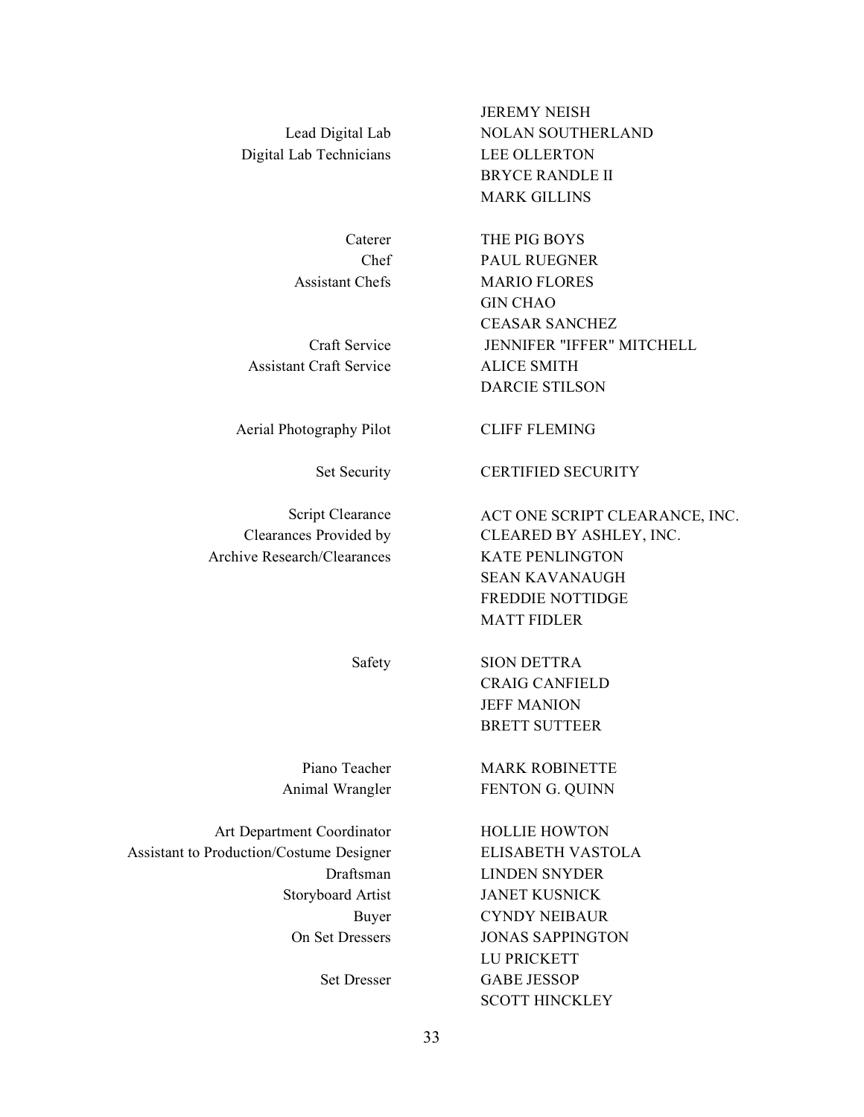Digital Lab Technicians LEE OLLERTON

Assistant Craft Service ALICE SMITH

Aerial Photography Pilot CLIFF FLEMING

Archive Research/Clearances KATE PENLINGTON

Art Department Coordinator HOLLIE HOWTON Assistant to Production/Costume Designer ELISABETH VASTOLA

Caterer THE PIG BOYS Chef PAUL RUEGNER Assistant Chefs MARIO FLORES GIN CHAO CEASAR SANCHEZ Craft Service JENNIFER "IFFER" MITCHELL DARCIE STILSON

Set Security CERTIFIED SECURITY

Script Clearance ACT ONE SCRIPT CLEARANCE, INC. Clearances Provided by CLEARED BY ASHLEY, INC. SEAN KAVANAUGH FREDDIE NOTTIDGE MATT FIDLER

> Safety SION DETTRA CRAIG CANFIELD JEFF MANION BRETT SUTTEER

Piano Teacher MARK ROBINETTE Animal Wrangler FENTON G. QUINN

Draftsman LINDEN SNYDER Storyboard Artist JANET KUSNICK Buyer CYNDY NEIBAUR On Set Dressers JONAS SAPPINGTON LU PRICKETT Set Dresser GABE JESSOP SCOTT HINCKLEY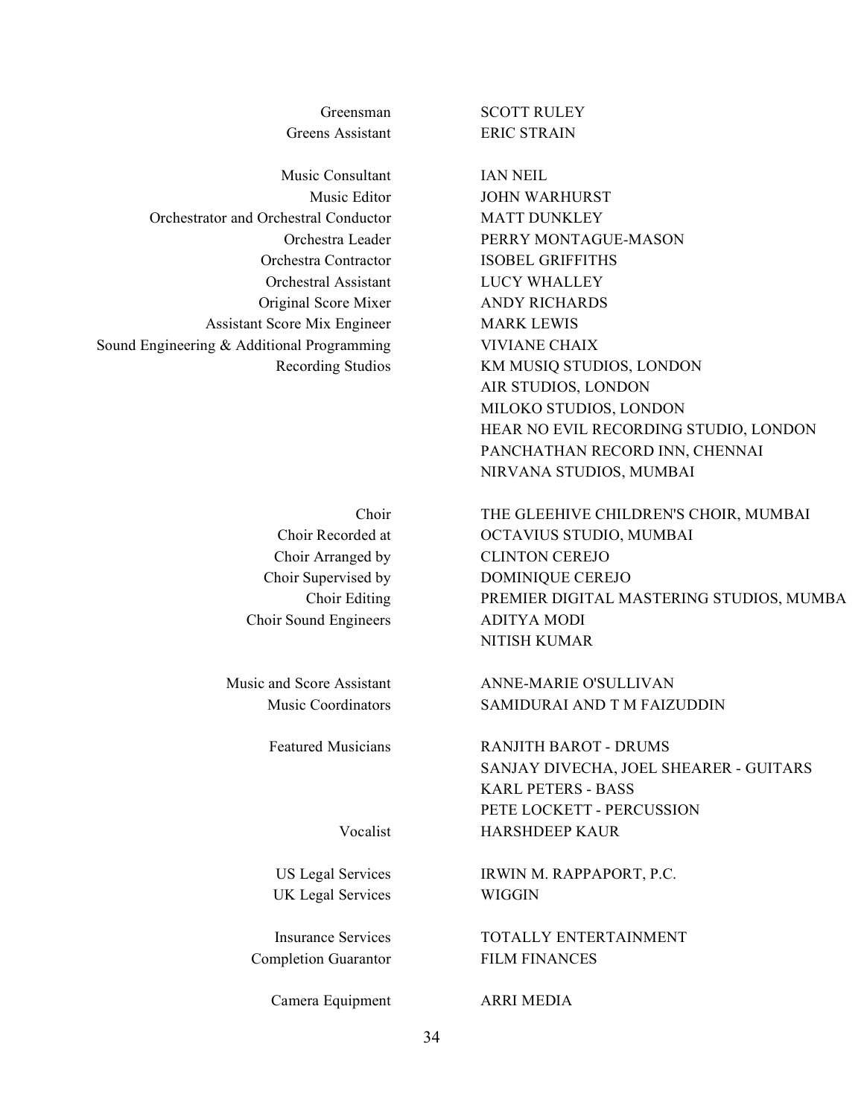Greens Assistant ERIC STRAIN

Music Consultant IAN NEIL Orchestrator and Orchestral Conductor MATT DUNKLEY Orchestral Assistant LUCY WHALLEY Original Score Mixer ANDY RICHARDS Assistant Score Mix Engineer MARK LEWIS Sound Engineering & Additional Programming VIVIANE CHAIX

Choir Sound Engineers ADITYA MODI

UK Legal Services WIGGIN

Completion Guarantor FILM FINANCES

Camera Equipment ARRI MEDIA

Greensman SCOTT RULEY

Music Editor **JOHN WARHURST** Orchestra Leader PERRY MONTAGUE-MASON Orchestra Contractor ISOBEL GRIFFITHS Recording Studios KM MUSIQ STUDIOS, LONDON AIR STUDIOS, LONDON MILOKO STUDIOS, LONDON HEAR NO EVIL RECORDING STUDIO, LONDON PANCHATHAN RECORD INN, CHENNAI NIRVANA STUDIOS, MUMBAI

Choir THE GLEEHIVE CHILDREN'S CHOIR, MUMBAI Choir Recorded at OCTAVIUS STUDIO, MUMBAI Choir Arranged by CLINTON CEREJO Choir Supervised by DOMINIQUE CEREJO Choir Editing PREMIER DIGITAL MASTERING STUDIOS, MUMBA NITISH KUMAR

Music and Score Assistant ANNE-MARIE O'SULLIVAN Music Coordinators SAMIDURAI AND T M FAIZUDDIN

Featured Musicians **RANJITH BAROT - DRUMS** SANJAY DIVECHA, JOEL SHEARER - GUITARS KARL PETERS - BASS PETE LOCKETT - PERCUSSION Vocalist HARSHDEEP KAUR

US Legal Services IRWIN M. RAPPAPORT, P.C.

Insurance Services TOTALLY ENTERTAINMENT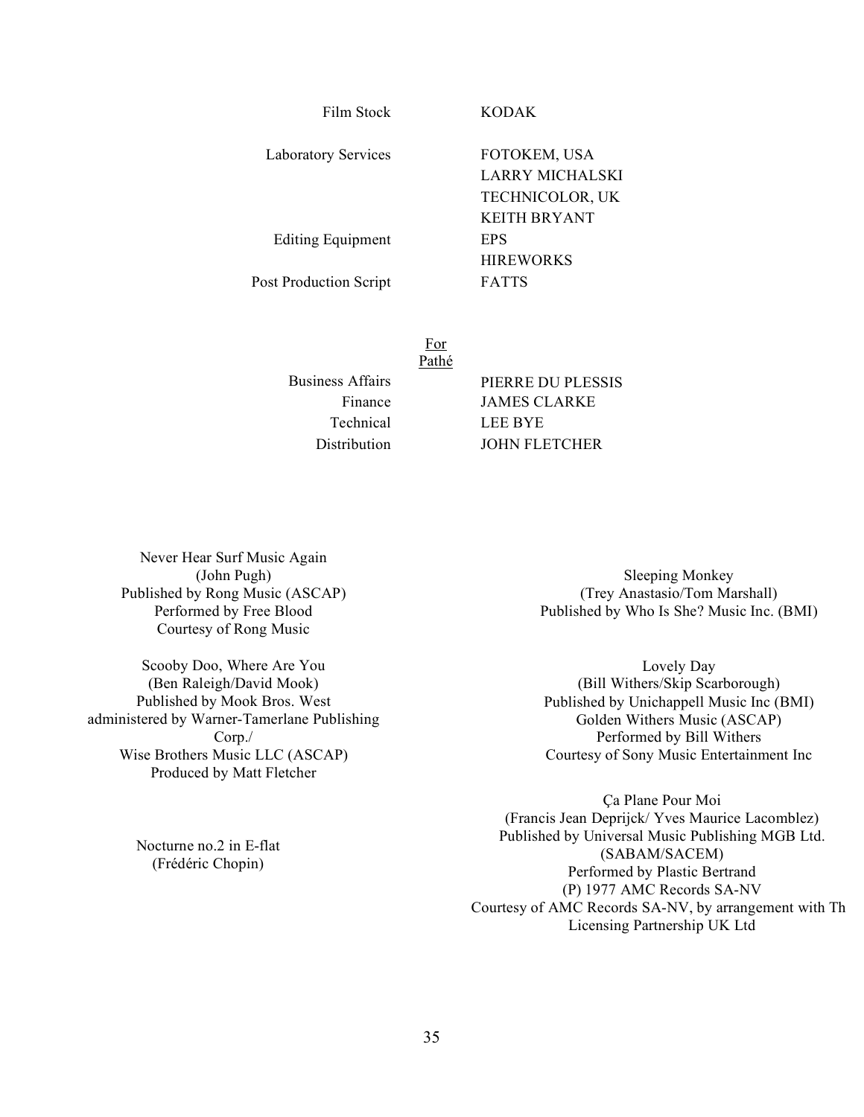Film Stock KODAK

Laboratory Services FOTOKEM, USA

LARRY MICHALSKI TECHNICOLOR, UK KEITH BRYANT Editing Equipment EPS **HIREWORKS** Post Production Script FATTS

> For Pathé

Technical LEE BYE

Business Affairs PIERRE DU PLESSIS Finance JAMES CLARKE Distribution JOHN FLETCHER

Never Hear Surf Music Again (John Pugh) Published by Rong Music (ASCAP) Performed by Free Blood Courtesy of Rong Music

Scooby Doo, Where Are You (Ben Raleigh/David Mook) Published by Mook Bros. West administered by Warner-Tamerlane Publishing Corp./ Wise Brothers Music LLC (ASCAP) Produced by Matt Fletcher

> Nocturne no.2 in E-flat (Frédéric Chopin)

Sleeping Monkey (Trey Anastasio/Tom Marshall) Published by Who Is She? Music Inc. (BMI)

Lovely Day (Bill Withers/Skip Scarborough) Published by Unichappell Music Inc (BMI) Golden Withers Music (ASCAP) Performed by Bill Withers Courtesy of Sony Music Entertainment Inc

Ça Plane Pour Moi (Francis Jean Deprijck/ Yves Maurice Lacomblez) Published by Universal Music Publishing MGB Ltd. (SABAM/SACEM) Performed by Plastic Bertrand (P) 1977 AMC Records SA-NV Courtesy of AMC Records SA-NV, by arrangement with Th Licensing Partnership UK Ltd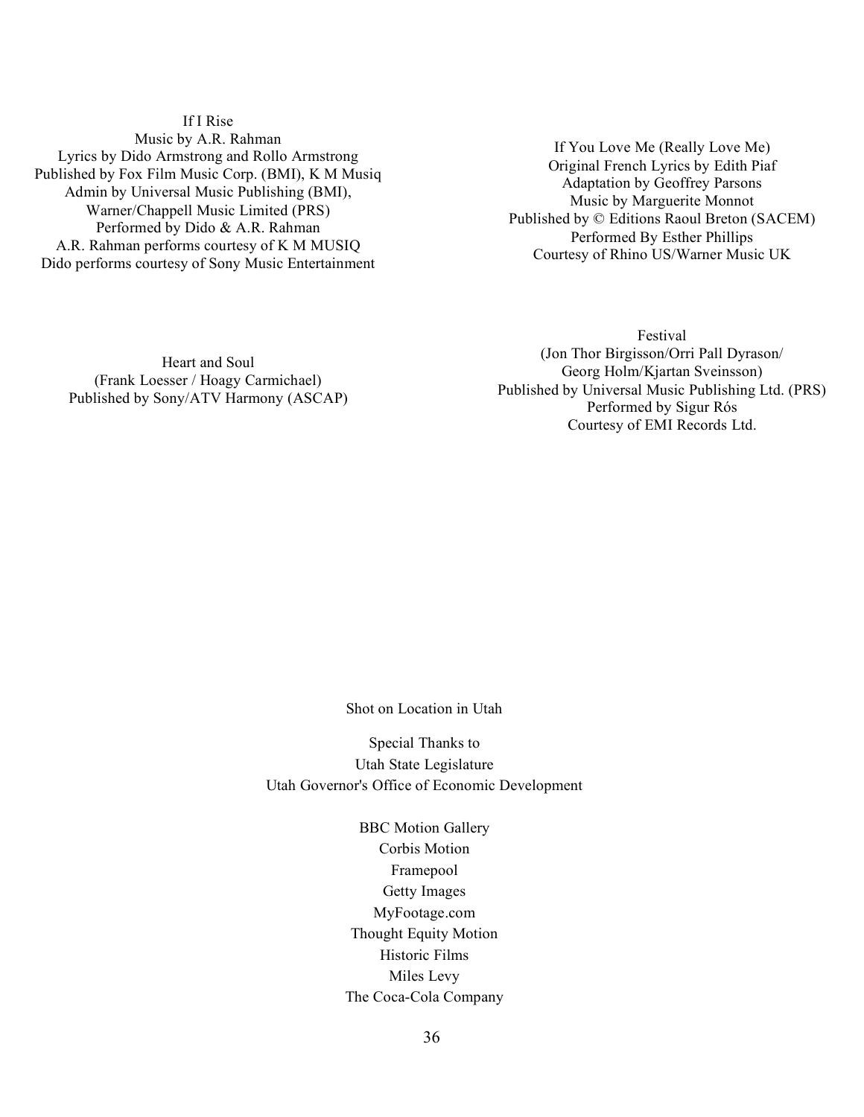If I Rise Music by A.R. Rahman Lyrics by Dido Armstrong and Rollo Armstrong Published by Fox Film Music Corp. (BMI), K M Musiq Admin by Universal Music Publishing (BMI), Warner/Chappell Music Limited (PRS) Performed by Dido & A.R. Rahman A.R. Rahman performs courtesy of K M MUSIQ Dido performs courtesy of Sony Music Entertainment

If You Love Me (Really Love Me) Original French Lyrics by Edith Piaf Adaptation by Geoffrey Parsons Music by Marguerite Monnot Published by © Editions Raoul Breton (SACEM) Performed By Esther Phillips Courtesy of Rhino US/Warner Music UK

Heart and Soul (Frank Loesser / Hoagy Carmichael) Published by Sony/ATV Harmony (ASCAP)

Festival (Jon Thor Birgisson/Orri Pall Dyrason/ Georg Holm/Kjartan Sveinsson) Published by Universal Music Publishing Ltd. (PRS) Performed by Sigur Rós Courtesy of EMI Records Ltd.

Shot on Location in Utah

Special Thanks to Utah State Legislature Utah Governor's Office of Economic Development

> BBC Motion Gallery Corbis Motion Framepool Getty Images MyFootage.com Thought Equity Motion Historic Films Miles Levy The Coca-Cola Company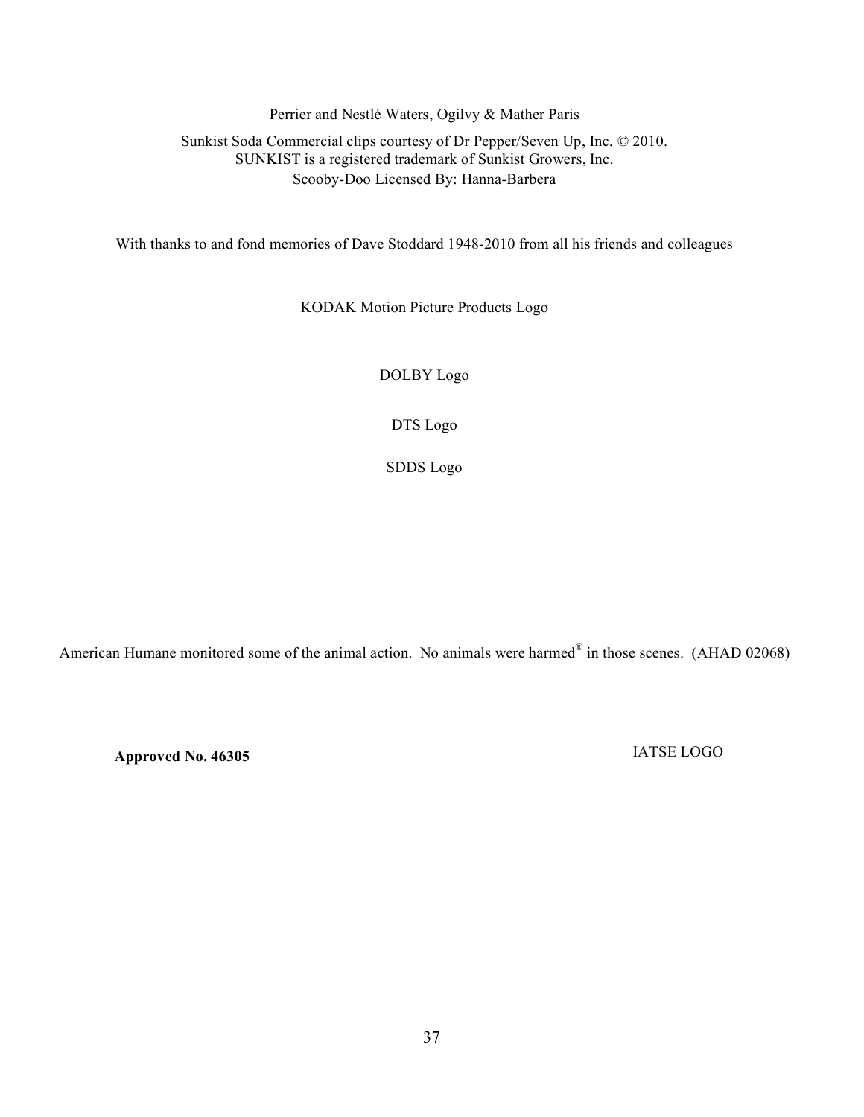Perrier and Nestlé Waters, Ogilvy & Mather Paris

## Sunkist Soda Commercial clips courtesy of Dr Pepper/Seven Up, Inc. © 2010. SUNKIST is a registered trademark of Sunkist Growers, Inc. Scooby-Doo Licensed By: Hanna-Barbera

With thanks to and fond memories of Dave Stoddard 1948-2010 from all his friends and colleagues

KODAK Motion Picture Products Logo

DOLBY Logo

DTS Logo

SDDS Logo

American Humane monitored some of the animal action. No animals were harmed<sup>®</sup> in those scenes. (AHAD 02068)

**Approved No. 46305** IATSE LOGO